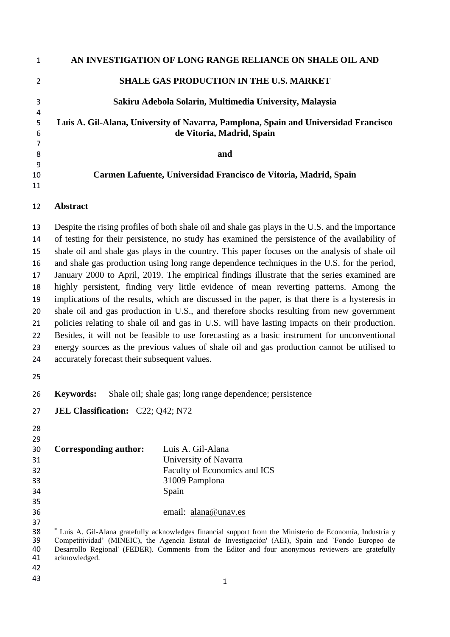|    | AN INVESTIGATION OF LONG RANGE RELIANCE ON SHALE OIL AND                            |
|----|-------------------------------------------------------------------------------------|
|    | <b>SHALE GAS PRODUCTION IN THE U.S. MARKET</b>                                      |
| 3  | Sakiru Adebola Solarin, Multimedia University, Malaysia                             |
| 4  |                                                                                     |
| 5  | Luis A. Gil-Alana, University of Navarra, Pamplona, Spain and Universidad Francisco |
| 6  | de Vitoria, Madrid, Spain                                                           |
|    |                                                                                     |
| 8  | and                                                                                 |
| 9  |                                                                                     |
| 10 | Carmen Lafuente, Universidad Francisco de Vitoria, Madrid, Spain                    |
| 11 |                                                                                     |
|    |                                                                                     |

# **Abstract**

 Despite the rising profiles of both shale oil and shale gas plays in the U.S. and the importance of testing for their persistence, no study has examined the persistence of the availability of shale oil and shale gas plays in the country. This paper focuses on the analysis of shale oil and shale gas production using long range dependence techniques in the U.S. for the period, January 2000 to April, 2019. The empirical findings illustrate that the series examined are highly persistent, finding very little evidence of mean reverting patterns. Among the implications of the results, which are discussed in the paper, is that there is a hysteresis in shale oil and gas production in U.S., and therefore shocks resulting from new government policies relating to shale oil and gas in U.S. will have lasting impacts on their production. Besides, it will not be feasible to use forecasting as a basic instrument for unconventional energy sources as the previous values of shale oil and gas production cannot be utilised to accurately forecast their subsequent values.

**Keywords:** Shale oil; shale gas; long range dependence; persistence

| 27 JEL Classification: C22; Q42; N72 |
|--------------------------------------|
|                                      |

| 29 |                              |                              |
|----|------------------------------|------------------------------|
| 30 | <b>Corresponding author:</b> | Luis A. Gil-Alana            |
| 31 |                              | University of Navarra        |
| 32 |                              | Faculty of Economics and ICS |
| 33 |                              | 31009 Pamplona               |
| 34 |                              | Spain                        |
| 35 |                              |                              |
| 36 |                              | email: alana@unav.es         |

<sup>\*</sup> Luis A. Gil-Alana gratefully acknowledges financial support from the Ministerio de Economía, Industria y<br> **39** Competitividad' (MINEIC), the Agencia Estatal de Investigación' (AEI), Spain and `Fondo Europeo de Competitividad' (MINEIC), the Agencia Estatal de Investigación' (AEI), Spain and `Fondo Europeo de Desarrollo Regional' (FEDER). Comments from the Editor and four anonymous reviewers are gratefully acknowledged.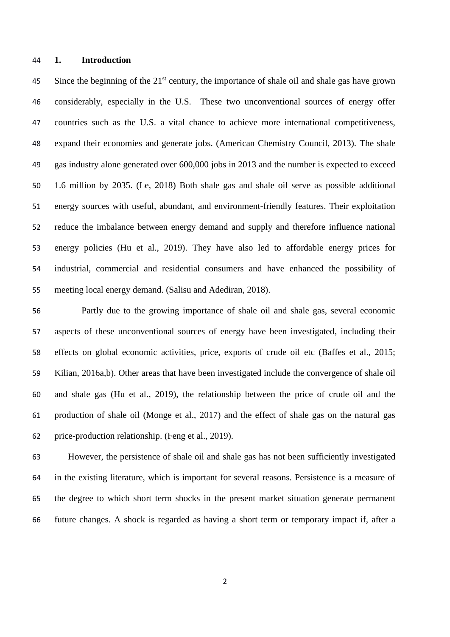#### **1. Introduction**

45 Since the beginning of the  $21<sup>st</sup>$  century, the importance of shale oil and shale gas have grown considerably, especially in the U.S. These two unconventional sources of energy offer countries such as the U.S. a vital chance to achieve more international competitiveness, expand their economies and generate jobs. (American Chemistry Council, 2013). The shale gas industry alone generated over 600,000 jobs in 2013 and the number is expected to exceed 1.6 million by 2035. (Le, 2018) Both shale gas and shale oil serve as possible additional energy sources with useful, abundant, and environment-friendly features. Their exploitation reduce the imbalance between energy demand and supply and therefore influence national energy policies (Hu et al., 2019). They have also led to affordable energy prices for industrial, commercial and residential consumers and have enhanced the possibility of meeting local energy demand. (Salisu and Adediran, 2018).

 Partly due to the growing importance of shale oil and shale gas, several economic aspects of these unconventional sources of energy have been investigated, including their effects on global economic activities, price, exports of crude oil etc (Baffes et al., 2015; Kilian, 2016a,b). Other areas that have been investigated include the convergence of shale oil and shale gas (Hu et al., 2019), the relationship between the price of crude oil and the production of shale oil (Monge et al., 2017) and the effect of shale gas on the natural gas price-production relationship. (Feng et al., 2019).

 However, the persistence of shale oil and shale gas has not been sufficiently investigated in the existing literature, which is important for several reasons. Persistence is a measure of the degree to which short term shocks in the present market situation generate permanent future changes. A shock is regarded as having a short term or temporary impact if, after a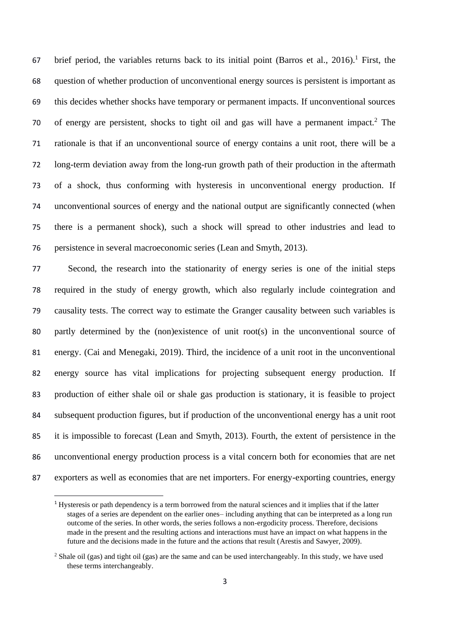67 brief period, the variables returns back to its initial point (Barros et al., 2016).<sup>1</sup> First, the question of whether production of unconventional energy sources is persistent is important as this decides whether shocks have temporary or permanent impacts. If unconventional sources 70 of energy are persistent, shocks to tight oil and gas will have a permanent impact.<sup>2</sup> The rationale is that if an unconventional source of energy contains a unit root, there will be a long-term deviation away from the long-run growth path of their production in the aftermath of a shock, thus conforming with hysteresis in unconventional energy production. If unconventional sources of energy and the national output are significantly connected (when there is a permanent shock), such a shock will spread to other industries and lead to persistence in several macroeconomic series (Lean and Smyth, 2013).

 Second, the research into the stationarity of energy series is one of the initial steps required in the study of energy growth, which also regularly include cointegration and causality tests. The correct way to estimate the Granger causality between such variables is partly determined by the (non)existence of unit root(s) in the unconventional source of energy. (Cai and Menegaki, 2019). Third, the incidence of a unit root in the unconventional energy source has vital implications for projecting subsequent energy production. If production of either shale oil or shale gas production is stationary, it is feasible to project subsequent production figures, but if production of the unconventional energy has a unit root it is impossible to forecast (Lean and Smyth, 2013). Fourth, the extent of persistence in the unconventional energy production process is a vital concern both for economies that are net exporters as well as economies that are net importers. For energy-exporting countries, energy

 Hysteresis or path dependency is a term borrowed from the natural sciences and it implies that if the latter stages of a series are dependent on the earlier ones– including anything that can be interpreted as a long run outcome of the series. In other words, the series follows a non-ergodicity process. Therefore, decisions made in the present and the resulting actions and interactions must have an impact on what happens in the future and the decisions made in the future and the actions that result (Arestis and Sawyer, 2009).

<sup>&</sup>lt;sup>2</sup> Shale oil (gas) and tight oil (gas) are the same and can be used interchangeably. In this study, we have used these terms interchangeably.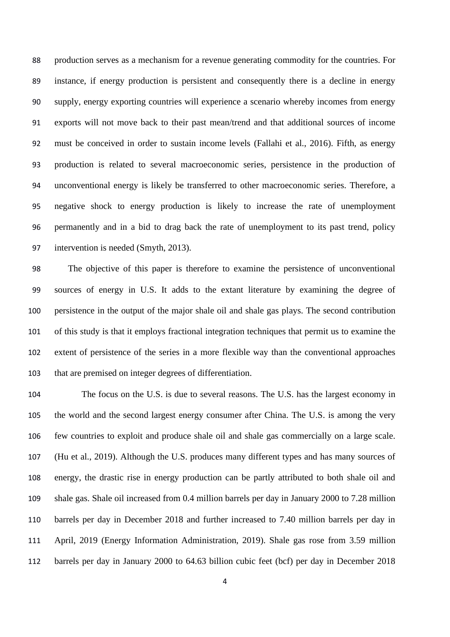production serves as a mechanism for a revenue generating commodity for the countries. For instance, if energy production is persistent and consequently there is a decline in energy supply, energy exporting countries will experience a scenario whereby incomes from energy exports will not move back to their past mean/trend and that additional sources of income must be conceived in order to sustain income levels (Fallahi et al., 2016). Fifth, as energy production is related to several macroeconomic series, persistence in the production of unconventional energy is likely be transferred to other macroeconomic series. Therefore, a negative shock to energy production is likely to increase the rate of unemployment permanently and in a bid to drag back the rate of unemployment to its past trend, policy intervention is needed (Smyth, 2013).

 The objective of this paper is therefore to examine the persistence of unconventional sources of energy in U.S. It adds to the extant literature by examining the degree of persistence in the output of the major shale oil and shale gas plays. The second contribution of this study is that it employs fractional integration techniques that permit us to examine the extent of persistence of the series in a more flexible way than the conventional approaches that are premised on integer degrees of differentiation.

 The focus on the U.S. is due to several reasons. The U.S. has the largest economy in the world and the second largest energy consumer after China. The U.S. is among the very few countries to exploit and produce shale oil and shale gas commercially on a large scale. (Hu et al., 2019). Although the U.S. produces many different types and has many sources of energy, the drastic rise in energy production can be partly attributed to both shale oil and shale gas. Shale oil increased from 0.4 million barrels per day in January 2000 to 7.28 million barrels per day in December 2018 and further increased to 7.40 million barrels per day in April, 2019 (Energy Information Administration, 2019). Shale gas rose from 3.59 million barrels per day in January 2000 to 64.63 billion cubic feet (bcf) per day in December 2018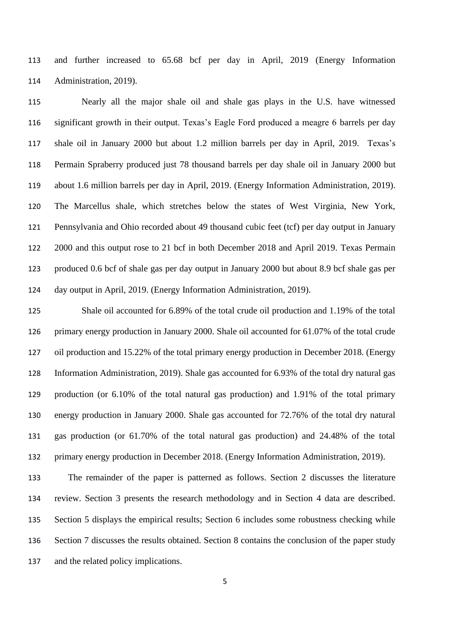and further increased to 65.68 bcf per day in April, 2019 (Energy Information Administration, 2019).

 Nearly all the major shale oil and shale gas plays in the U.S. have witnessed significant growth in their output. Texas's Eagle Ford produced a meagre 6 barrels per day shale oil in January 2000 but about 1.2 million barrels per day in April, 2019. Texas's Permain Spraberry produced just 78 thousand barrels per day shale oil in January 2000 but about 1.6 million barrels per day in April, 2019. (Energy Information Administration, 2019). The Marcellus shale, which stretches below the states of West Virginia, New York, Pennsylvania and Ohio recorded about 49 thousand cubic feet (tcf) per day output in January 2000 and this output rose to 21 bcf in both December 2018 and April 2019. Texas Permain produced 0.6 bcf of shale gas per day output in January 2000 but about 8.9 bcf shale gas per day output in April, 2019. (Energy Information Administration, 2019).

 Shale oil accounted for 6.89% of the total crude oil production and 1.19% of the total primary energy production in January 2000. Shale oil accounted for 61.07% of the total crude oil production and 15.22% of the total primary energy production in December 2018. (Energy Information Administration, 2019). Shale gas accounted for 6.93% of the total dry natural gas production (or 6.10% of the total natural gas production) and 1.91% of the total primary energy production in January 2000. Shale gas accounted for 72.76% of the total dry natural gas production (or 61.70% of the total natural gas production) and 24.48% of the total primary energy production in December 2018. (Energy Information Administration, 2019).

 The remainder of the paper is patterned as follows. Section 2 discusses the literature review. Section 3 presents the research methodology and in Section 4 data are described. Section 5 displays the empirical results; Section 6 includes some robustness checking while Section 7 discusses the results obtained. Section 8 contains the conclusion of the paper study and the related policy implications.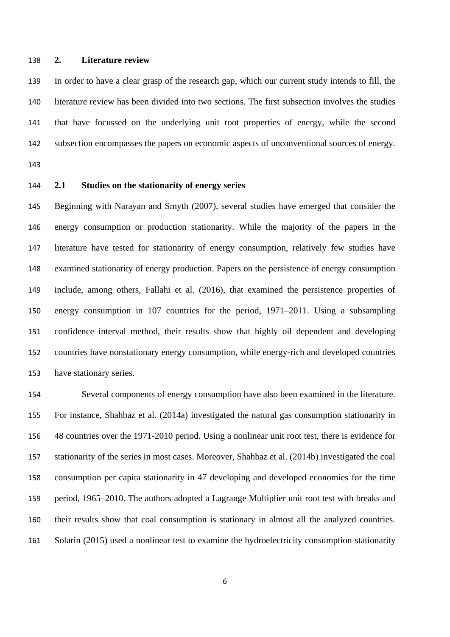#### **2. Literature review**

 In order to have a clear grasp of the research gap, which our current study intends to fill, the literature review has been divided into two sections. The first subsection involves the studies that have focussed on the underlying unit root properties of energy, while the second subsection encompasses the papers on economic aspects of unconventional sources of energy.

# **2.1 Studies on the stationarity of energy series**

 Beginning with Narayan and Smyth (2007), several studies have emerged that consider the energy consumption or production stationarity. While the majority of the papers in the literature have tested for stationarity of energy consumption, relatively few studies have examined stationarity of energy production. Papers on the persistence of energy consumption include, among others, Fallahi et al. (2016), that examined the persistence properties of energy consumption in 107 countries for the period, 1971–2011. Using a subsampling confidence interval method, their results show that highly oil dependent and developing countries have nonstationary energy consumption, while energy-rich and developed countries have stationary series.

 Several components of energy consumption have also been examined in the literature. For instance, Shahbaz et al. (2014a) investigated the natural gas consumption stationarity in 48 countries over the 1971-2010 period. Using a nonlinear unit root test, there is evidence for stationarity of the series in most cases. Moreover, Shahbaz et al. (2014b) investigated the coal consumption per capita stationarity in 47 developing and developed economies for the time period, 1965–2010. The authors adopted a Lagrange Multiplier unit root test with breaks and their results show that coal consumption is stationary in almost all the analyzed countries. Solarin (2015) used a nonlinear test to examine the hydroelectricity consumption stationarity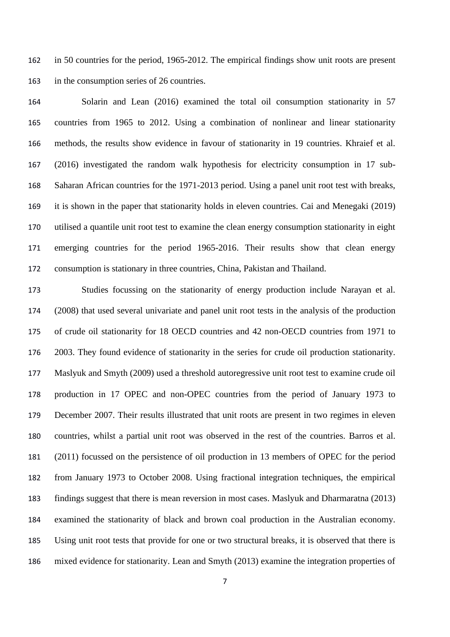in 50 countries for the period, 1965-2012. The empirical findings show unit roots are present in the consumption series of 26 countries.

 Solarin and Lean (2016) examined the total oil consumption stationarity in 57 countries from 1965 to 2012. Using a combination of nonlinear and linear stationarity methods, the results show evidence in favour of stationarity in 19 countries. Khraief et al. (2016) investigated the random walk hypothesis for electricity consumption in 17 sub- Saharan African countries for the 1971-2013 period. Using a panel unit root test with breaks, it is shown in the paper that stationarity holds in eleven countries. Cai and Menegaki (2019) utilised a quantile unit root test to examine the clean energy consumption stationarity in eight emerging countries for the period 1965-2016. Their results show that clean energy consumption is stationary in three countries, China, Pakistan and Thailand.

 Studies focussing on the stationarity of energy production include Narayan et al. (2008) that used several univariate and panel unit root tests in the analysis of the production of crude oil stationarity for 18 OECD countries and 42 non-OECD countries from 1971 to 2003. They found evidence of stationarity in the series for crude oil production stationarity. Maslyuk and Smyth (2009) used a threshold autoregressive unit root test to examine crude oil production in 17 OPEC and non-OPEC countries from the period of January 1973 to December 2007. Their results illustrated that unit roots are present in two regimes in eleven countries, whilst a partial unit root was observed in the rest of the countries. Barros et al. (2011) focussed on the persistence of oil production in 13 members of OPEC for the period from January 1973 to October 2008. Using fractional integration techniques, the empirical findings suggest that there is mean reversion in most cases. Maslyuk and Dharmaratna (2013) examined the stationarity of black and brown coal production in the Australian economy. Using unit root tests that provide for one or two structural breaks, it is observed that there is mixed evidence for stationarity. Lean and Smyth (2013) examine the integration properties of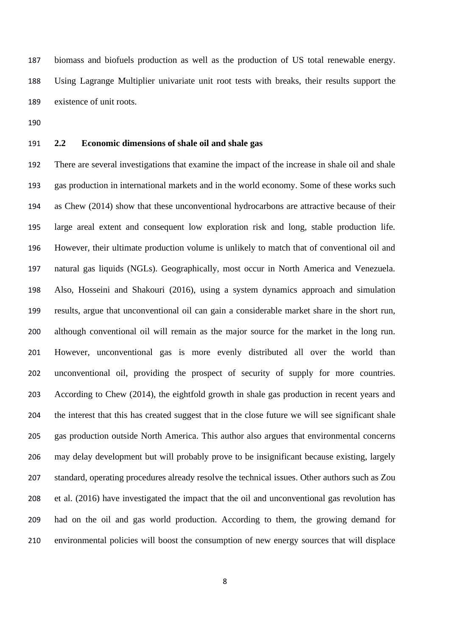biomass and biofuels production as well as the production of US total renewable energy. Using Lagrange Multiplier univariate unit root tests with breaks, their results support the existence of unit roots.

# **2.2 Economic dimensions of shale oil and shale gas**

 There are several investigations that examine the impact of the increase in shale oil and shale gas production in international markets and in the world economy. Some of these works such as Chew (2014) show that these unconventional hydrocarbons are attractive because of their large areal extent and consequent low exploration risk and long, stable production life. However, their ultimate production volume is unlikely to match that of conventional oil and natural gas liquids (NGLs). Geographically, most occur in North America and Venezuela. Also, Hosseini and Shakouri (2016), using a system dynamics approach and simulation results, argue that unconventional oil can gain a considerable market share in the short run, although conventional oil will remain as the major source for the market in the long run. However, unconventional gas is more evenly distributed all over the world than unconventional oil, providing the prospect of security of supply for more countries. According to Chew (2014), the eightfold growth in shale gas production in recent years and the interest that this has created suggest that in the close future we will see significant shale gas production outside North America. This author also argues that environmental concerns may delay development but will probably prove to be insignificant because existing, largely standard, operating procedures already resolve the technical issues. Other authors such as Zou et al. (2016) have investigated the impact that the oil and unconventional gas revolution has had on the oil and gas world production. According to them, the growing demand for environmental policies will boost the consumption of new energy sources that will displace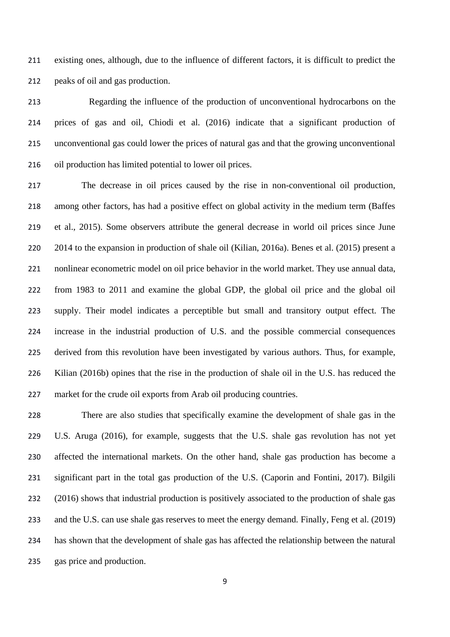existing ones, although, due to the influence of different factors, it is difficult to predict the peaks of oil and gas production.

 Regarding the influence of the production of unconventional hydrocarbons on the prices of gas and oil, Chiodi et al. (2016) indicate that a significant production of unconventional gas could lower the prices of natural gas and that the growing unconventional oil production has limited potential to lower oil prices.

 The decrease in oil prices caused by the rise in non-conventional oil production, among other factors, has had a positive effect on global activity in the medium term (Baffes et al., 2015). Some observers attribute the general decrease in world oil prices since June 2014 to the expansion in production of shale oil (Kilian, 2016a). Benes et al. (2015) present a nonlinear econometric model on oil price behavior in the world market. They use annual data, from 1983 to 2011 and examine the global GDP, the global oil price and the global oil supply. Their model indicates a perceptible but small and transitory output effect. The increase in the industrial production of U.S. and the possible commercial consequences derived from this revolution have been investigated by various authors. Thus, for example, Kilian (2016b) opines that the rise in the production of shale oil in the U.S. has reduced the market for the crude oil exports from Arab oil producing countries.

 There are also studies that specifically examine the development of shale gas in the U.S. Aruga (2016), for example, suggests that the U.S. shale gas revolution has not yet affected the international markets. On the other hand, shale gas production has become a significant part in the total gas production of the U.S. (Caporin and Fontini, 2017). Bilgili (2016) shows that industrial production is positively associated to the production of shale gas and the U.S. can use shale gas reserves to meet the energy demand. Finally, Feng et al. (2019) has shown that the development of shale gas has affected the relationship between the natural gas price and production.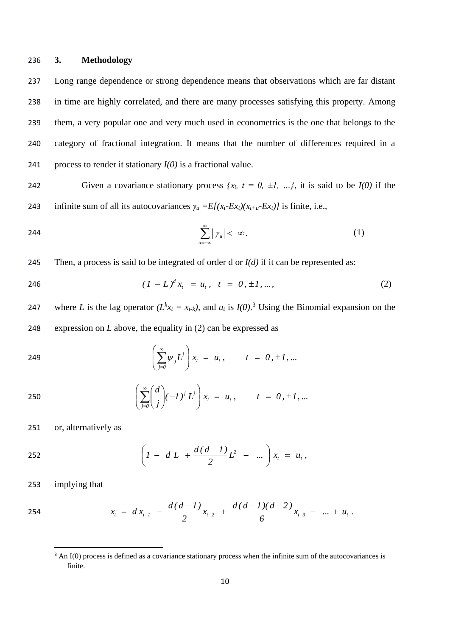## 236 **3. Methodology**

 Long range dependence or strong dependence means that observations which are far distant in time are highly correlated, and there are many processes satisfying this property. Among them, a very popular one and very much used in econometrics is the one that belongs to the category of fractional integration. It means that the number of differences required in a process to render it stationary *I(0)* is a fractional value.

242 Given a covariance stationary process  $\{x_t, t = 0, \pm 1, \ldots\}$ , it is said to be  $I(0)$  if the 243 infinite sum of all its autocovariances  $\gamma_u = E[(x_t - Ex_t)(x_{t+u} - Ex_t)]$  is finite, i.e.,

$$
\sum_{u=-\infty}^{\infty} |\gamma_u| < \infty. \tag{1}
$$

245 Then, a process is said to be integrated of order d or  $I(d)$  if it can be represented as:

$$
(1 - L)^d x_t = u_t, \quad t = 0, \pm 1, \dots,
$$
 (2)

247 where *L* is the lag operator  $(L^k x_t = x_{t-k})$ , and  $u_t$  is  $I(0)$ .<sup>3</sup> Using the Binomial expansion on the 248 expression on *L* above, the equality in (2) can be expressed as

249 
$$
\left(\sum_{j=0}^{\infty} \psi_j L^j\right) x_t = u_t, \qquad t = 0, \pm 1, ...
$$

250 
$$
\left(\sum_{j=0}^{\infty} \binom{d}{j} (-1)^j L^j\right) x_t = u_t, \qquad t = 0, \pm 1, ...
$$

251 or, alternatively as

252 
$$
\left(1 - d L + \frac{d(d-1)}{2}L^2 - \dots\right) x_t = u_t,
$$

253 implying that

254 
$$
x_t = dx_{t-1} - \frac{d(d-1)}{2}x_{t-2} + \frac{d(d-1)(d-2)}{6}x_{t-3} - \dots + u_t
$$
.

<sup>&</sup>lt;sup>3</sup> An I(0) process is defined as a covariance stationary process when the infinite sum of the autocovariances is finite.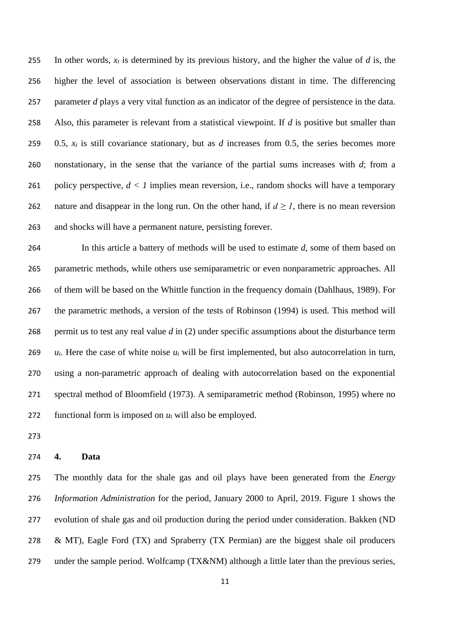In other words, *x<sup>t</sup>* is determined by its previous history, and the higher the value of *d* is, the higher the level of association is between observations distant in time. The differencing parameter *d* plays a very vital function as an indicator of the degree of persistence in the data. Also, this parameter is relevant from a statistical viewpoint. If *d* is positive but smaller than 259 0.5,  $x_t$  is still covariance stationary, but as *d* increases from 0.5, the series becomes more nonstationary, in the sense that the variance of the partial sums increases with *d*; from a 261 policy perspective,  $d < 1$  implies mean reversion, i.e., random shocks will have a temporary 262 nature and disappear in the long run. On the other hand, if  $d \ge 1$ , there is no mean reversion and shocks will have a permanent nature, persisting forever.

 In this article a battery of methods will be used to estimate *d*, some of them based on parametric methods, while others use semiparametric or even nonparametric approaches. All of them will be based on the Whittle function in the frequency domain (Dahlhaus, 1989). For the parametric methods, a version of the tests of Robinson (1994) is used. This method will permit us to test any real value *d* in (2) under specific assumptions about the disturbance term *ut*. Here the case of white noise *u<sup>t</sup>* will be first implemented, but also autocorrelation in turn, using a non-parametric approach of dealing with autocorrelation based on the exponential spectral method of Bloomfield (1973). A semiparametric method (Robinson, 1995) where no functional form is imposed on *u<sup>t</sup>* will also be employed.

#### **4. Data**

 The monthly data for the shale gas and oil plays have been generated from the *Energy Information Administration* for the period, January 2000 to April, 2019. Figure 1 shows the evolution of shale gas and oil production during the period under consideration. Bakken (ND & MT), Eagle Ford (TX) and Spraberry (TX Permian) are the biggest shale oil producers 279 under the sample period. Wolfcamp (TX&NM) although a little later than the previous series,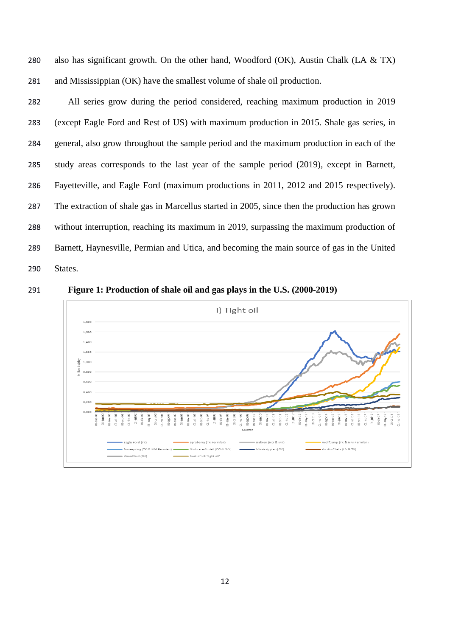280 also has significant growth. On the other hand, Woodford (OK), Austin Chalk (LA  $& TX$ ) and Mississippian (OK) have the smallest volume of shale oil production.

 All series grow during the period considered, reaching maximum production in 2019 (except Eagle Ford and Rest of US) with maximum production in 2015. Shale gas series, in general, also grow throughout the sample period and the maximum production in each of the study areas corresponds to the last year of the sample period (2019), except in Barnett, Fayetteville, and Eagle Ford (maximum productions in 2011, 2012 and 2015 respectively). The extraction of shale gas in Marcellus started in 2005, since then the production has grown without interruption, reaching its maximum in 2019, surpassing the maximum production of Barnett, Haynesville, Permian and Utica, and becoming the main source of gas in the United States.



**Figure 1: Production of shale oil and gas plays in the U.S. (2000-2019)**

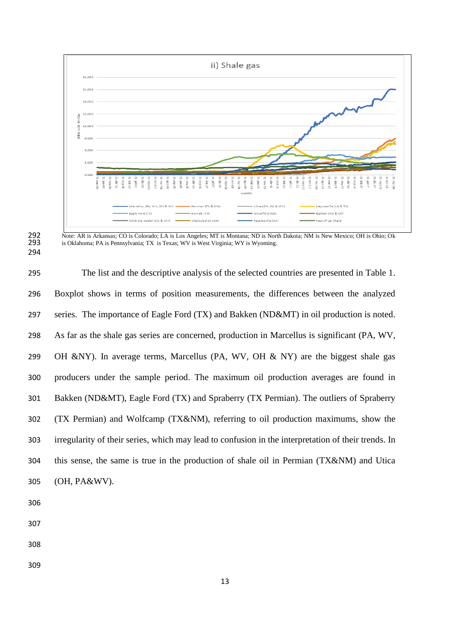

292 Note: AR is Arkansas; CO is Colorado; LA is Los Angeles; MT is Montana; ND is North Dakota; NM is New Mexico; OH is Ohio; Ok is Oklahoma; PA is Pennsylvania; TX is Texas; WV is West Virginia; WY is Wyoming. is Oklahoma; PA is Pennsylvania; TX is Texas; WV is West Virginia; WY is Wyoming.

 The list and the descriptive analysis of the selected countries are presented in Table 1. Boxplot shows in terms of position measurements, the differences between the analyzed series. The importance of Eagle Ford (TX) and Bakken (ND&MT) in oil production is noted. As far as the shale gas series are concerned, production in Marcellus is significant (PA, WV, OH &NY). In average terms, Marcellus (PA, WV, OH & NY) are the biggest shale gas producers under the sample period. The maximum oil production averages are found in Bakken (ND&MT), Eagle Ford (TX) and Spraberry (TX Permian). The outliers of Spraberry (TX Permian) and Wolfcamp (TX&NM), referring to oil production maximums, show the irregularity of their series, which may lead to confusion in the interpretation of their trends. In this sense, the same is true in the production of shale oil in Permian (TX&NM) and Utica (OH, PA&WV).

- 
- 
-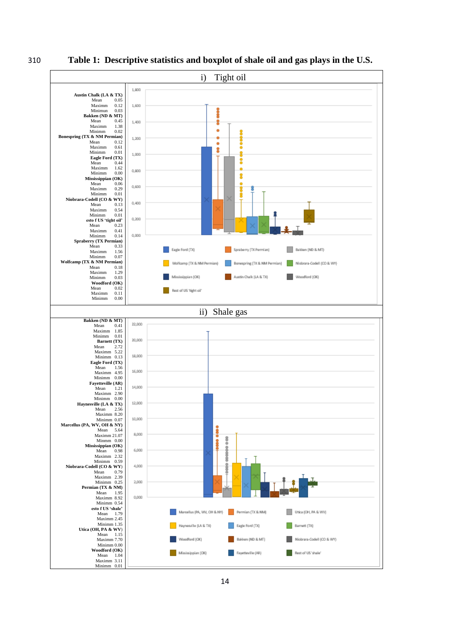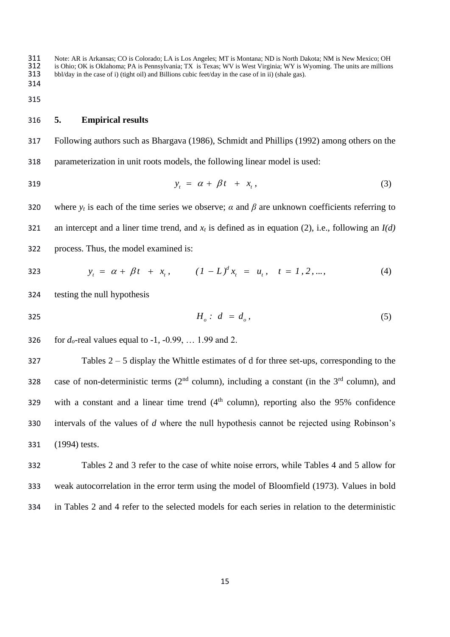311 Note: AR is Arkansas; CO is Colorado; LA is Los Angeles; MT is Montana; ND is North Dakota; NM is New Mexico; OH<br>312 is Ohio; OK is Oklahoma; PA is Pennsylvania; TX is Texas; WV is West Virginia; WY is Wyoming. The uni 312 is Ohio; OK is Oklahoma; PA is Pennsylvania; TX is Texas; WV is West Virginia; WY is Wyoming. The units are millions bbl/day in the case of i) (tight oil) and Billions cubic feet/day in the case of in ii) (shale gas). 313 bbl/day in the case of i) (tight oil) and Billions cubic feet/day in the case of in ii) (shale gas). 314

315

# 316 **5. Empirical results**

317 Following authors such as Bhargava (1986), Schmidt and Phillips (1992) among others on the 318 parameterization in unit roots models, the following linear model is used:

$$
y_t = \alpha + \beta t + x_t, \tag{3}
$$

320 where  $y_t$  is each of the time series we observe;  $\alpha$  and  $\beta$  are unknown coefficients referring to 321 an intercept and a liner time trend, and *x<sup>t</sup>* is defined as in equation (2), i.e., following an *I(d)* 322 process. Thus, the model examined is:

323 
$$
y_t = \alpha + \beta t + x_t, \qquad (1 - L)^d x_t = u_t, \quad t = 1, 2, ...,
$$
 (4)

324 testing the null hypothesis

*H<sub>o</sub>***:**  $d = d_o$ , (5)

326 for  $d_0$ -real values equal to -1, -0.99, ... 1.99 and 2.

327 Tables 2 – 5 display the Whittle estimates of d for three set-ups, corresponding to the 328 case of non-deterministic terms ( $2<sup>nd</sup>$  column), including a constant (in the  $3<sup>rd</sup>$  column), and 329 with a constant and a linear time trend  $(4<sup>th</sup>$  column), reporting also the 95% confidence 330 intervals of the values of *d* where the null hypothesis cannot be rejected using Robinson's 331 (1994) tests.

332 Tables 2 and 3 refer to the case of white noise errors, while Tables 4 and 5 allow for 333 weak autocorrelation in the error term using the model of Bloomfield (1973). Values in bold 334 in Tables 2 and 4 refer to the selected models for each series in relation to the deterministic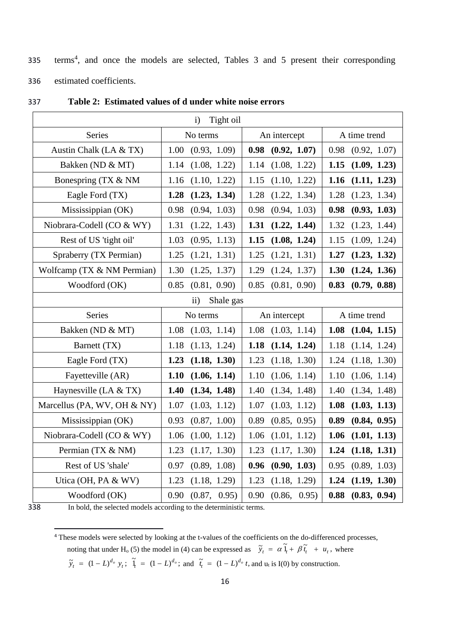335 terms<sup>4</sup>, and once the models are selected, Tables 3 and 5 present their corresponding 336 estimated coefficients.

| Tight oil<br>$\mathbf{i}$   |                        |              |              |
|-----------------------------|------------------------|--------------|--------------|
| Series                      | No terms               | An intercept | A time trend |
| Austin Chalk (LA & TX)      | 1.00                   | 0.98         | 0.98         |
|                             | (0.93, 1.09)           | (0.92, 1.07) | (0.92, 1.07) |
| Bakken (ND & MT)            | 1.14                   | 1.14         | 1.15         |
|                             | (1.08, 1.22)           | (1.08, 1.22) | (1.09, 1.23) |
| Bonespring (TX & NM         | 1.16                   | 1.15         | 1.16         |
|                             | (1.10, 1.22)           | (1.10, 1.22) | (1.11, 1.23) |
| Eagle Ford (TX)             | 1.28                   | 1.28         | 1.28         |
|                             | (1.23, 1.34)           | (1.22, 1.34) | (1.23, 1.34) |
| Mississippian (OK)          | 0.98                   | 0.98         | 0.98         |
|                             | (0.94, 1.03)           | (0.94, 1.03) | (0.93, 1.03) |
| Niobrara-Codell (CO & WY)   | 1.31                   | 1.31         | 1.32         |
|                             | (1.22, 1.43)           | (1.22, 1.44) | (1.23, 1.44) |
| Rest of US 'tight oil'      | 1.03                   | 1.15         | (1.09, 1.24) |
|                             | (0.95, 1.13)           | (1.08, 1.24) | 1.15         |
| Spraberry (TX Permian)      | 1.25                   | 1.25         | 1.27         |
|                             | (1.21, 1.31)           | (1.21, 1.31) | (1.23, 1.32) |
| Wolfcamp (TX & NM Permian)  | 1.30                   | 1.29         | 1.30         |
|                             | (1.25, 1.37)           | (1.24, 1.37) | (1.24, 1.36) |
| Woodford (OK)               | 0.85                   | 0.85         | 0.83         |
|                             | (0.81, 0.90)           | (0.81, 0.90) | (0.79, 0.88) |
|                             | Shale gas<br>$\rm ii)$ |              |              |
| <b>Series</b>               | No terms               | An intercept | A time trend |
| Bakken (ND & MT)            | (1.03, 1.14)           | (1.03, 1.14) | 1.08         |
|                             | 1.08                   | 1.08         | (1.04, 1.15) |
| Barnett (TX)                | 1.18                   | 1.18         | 1.18         |
|                             | (1.13, 1.24)           | (1.14, 1.24) | (1.14, 1.24) |
| Eagle Ford (TX)             | 1.23                   | 1.23         | 1.24         |
|                             | (1.18, 1.30)           | (1.18, 1.30) | (1.18, 1.30) |
| Fayetteville (AR)           | 1.10                   | 1.10         | 1.10         |
|                             | (1.06, 1.14)           | (1.06, 1.14) | (1.06, 1.14) |
| Haynesville (LA $& TX$ )    | 1.40                   | 1.40         | 1.40         |
|                             | (1.34, 1.48)           | (1.34, 1.48) | (1.34, 1.48) |
| Marcellus (PA, WV, OH & NY) | 1.07                   | 1.07         | 1.08         |
|                             | (1.03, 1.12)           | (1.03, 1.12) | (1.03, 1.13) |
| Mississippian (OK)          | 0.93                   | 0.89         | 0.89         |
|                             | (0.87, 1.00)           | (0.85, 0.95) | (0.84, 0.95) |
| Niobrara-Codell (CO & WY)   | 1.06                   | 1.06         | 1.06         |
|                             | (1.00, 1.12)           | (1.01, 1.12) | (1.01, 1.13) |
| Permian (TX & NM)           | 1.23                   | 1.23         | 1.24         |
|                             | (1.17, 1.30)           | (1.17, 1.30) | (1.18, 1.31) |
| Rest of US 'shale'          | 0.97                   | 0.96         | 0.95         |
|                             | (0.89, 1.08)           | (0.90, 1.03) | (0.89, 1.03) |
| Utica (OH, PA & WV)         | 1.23                   | 1.23         | 1.24         |
|                             | (1.18, 1.29)           | (1.18, 1.29) | (1.19, 1.30) |
| Woodford (OK)               | 0.90                   | 0.90         | 0.88         |
|                             | (0.87, 0.95)           | (0.86, 0.95) | (0.83, 0.94) |

# 337 **Table 2: Estimated values of d under white noise errors**

338 In bold, the selected models according to the deterministic terms.

 $\widetilde{y}_t = (1 - L)^{d_o} y_t$ ;  $\widetilde{I}_t = (1 - L)^{d_o}$ ; and  $\widetilde{t}_t = (1 - L)^{d_o} t$ , and  $u_t$  is I(0) by construction.

<sup>4</sup> These models were selected by looking at the t-values of the coefficients on the do-differenced processes, noting that under H<sub>o</sub> (5) the model in (4) can be expressed as  $\tilde{y}_t = \alpha \tilde{1}_t + \beta \tilde{t}_t + u_t$ ,  $\tilde{y}_t = \alpha \, 1_t + \beta \, \tilde{t}_t + u_t$ , where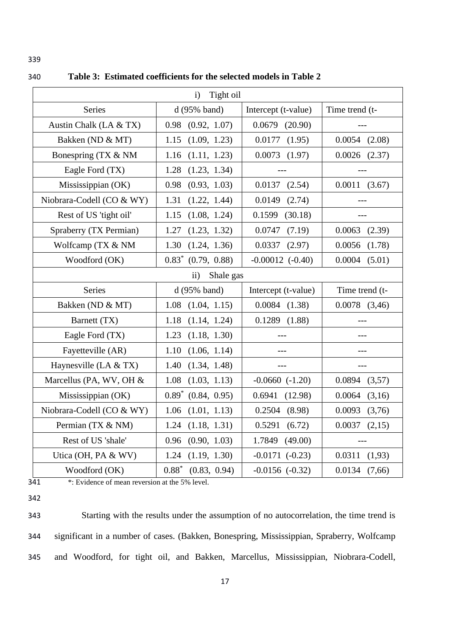| Tight oil<br>$\mathbf{i}$ |                                  |                      |                   |  |
|---------------------------|----------------------------------|----------------------|-------------------|--|
| Series                    | d(95% band)                      | Intercept (t-value)  | Time trend (t-    |  |
| Austin Chalk (LA & TX)    | (0.92, 1.07)<br>0.98             | $0.0679$ $(20.90)$   |                   |  |
| Bakken (ND & MT)          | (1.09, 1.23)<br>1.15             | 0.0177<br>(1.95)     | 0.0054<br>(2.08)  |  |
| Bonespring (TX & NM       | (1.11, 1.23)<br>1.16             | $0.0073$ $(1.97)$    | $0.0026$ $(2.37)$ |  |
| Eagle Ford (TX)           | (1.23, 1.34)<br>1.28             | $---$                |                   |  |
| Mississippian (OK)        | 0.98<br>(0.93, 1.03)             | $0.0137$ $(2.54)$    | 0.0011(3.67)      |  |
| Niobrara-Codell (CO & WY) | (1.22, 1.44)<br>1.31             | 0.0149<br>(2.74)     |                   |  |
| Rest of US 'tight oil'    | (1.08, 1.24)<br>1.15             | 0.1599<br>(30.18)    |                   |  |
| Spraberry (TX Permian)    | (1.23, 1.32)<br>1.27             | (7.19)<br>0.0747     | $0.0063$ $(2.39)$ |  |
| Wolfcamp (TX & NM         | 1.30<br>(1.24, 1.36)             | 0.0337<br>(2.97)     | 0.0056<br>(1.78)  |  |
| Woodford (OK)             | $0.83^*$ (0.79, 0.88)            | $-0.00012$ $(-0.40)$ | 0.0004<br>(5.01)  |  |
|                           | $\ddot{\mathbf{i}}$<br>Shale gas |                      |                   |  |
| <b>Series</b>             | d(95% band)                      | Intercept (t-value)  | Time trend (t-    |  |
| Bakken (ND & MT)          | (1.04, 1.15)<br>1.08             | $0.0084$ $(1.38)$    | $0.0078$ $(3,46)$ |  |
| Barnett (TX)              | $1.18$ $(1.14, 1.24)$            | $0.1289$ $(1.88)$    |                   |  |
| Eagle Ford (TX)           | 1.23<br>(1.18, 1.30)             | $---$                |                   |  |
| Fayetteville (AR)         | (1.06, 1.14)<br>1.10             |                      |                   |  |
| Haynesville (LA & TX)     | 1.40<br>(1.34, 1.48)             | $---$                |                   |  |
| Marcellus (PA, WV, OH &   | 1.08<br>(1.03, 1.13)             | $-0.0660$ $(-1.20)$  | 0.0894<br>(3,57)  |  |
| Mississippian (OK)        | $0.89^*$ $(0.84, 0.95)$          | 0.6941<br>(12.98)    | 0.0064<br>(3,16)  |  |
| Niobrara-Codell (CO & WY) | (1.01, 1.13)<br>1.06             | 0.2504<br>(8.98)     | 0.0093<br>(3,76)  |  |
| Permian (TX & NM)         | 1.24<br>(1.18, 1.31)             | 0.5291<br>(6.72)     | (2,15)<br>0.0037  |  |
| Rest of US 'shale'        | (0.90, 1.03)<br>0.96             | 1.7849<br>(49.00)    |                   |  |
| Utica (OH, PA & WV)       | (1.19, 1.30)<br>1.24             | $-0.0171$ $(-0.23)$  | 0.0311<br>(1,93)  |  |
| Woodford (OK)             | $0.88*$<br>(0.83, 0.94)          | $-0.0156$ $(-0.32)$  | (7,66)<br>0.0134  |  |

340 **Table 3: Estimated coefficients for the selected models in Table 2**

341 \*: Evidence of mean reversion at the 5% level.

342

343 Starting with the results under the assumption of no autocorrelation, the time trend is 344 significant in a number of cases. (Bakken, Bonespring, Mississippian, Spraberry, Wolfcamp 345 and Woodford, for tight oil, and Bakken, Marcellus, Mississippian, Niobrara-Codell,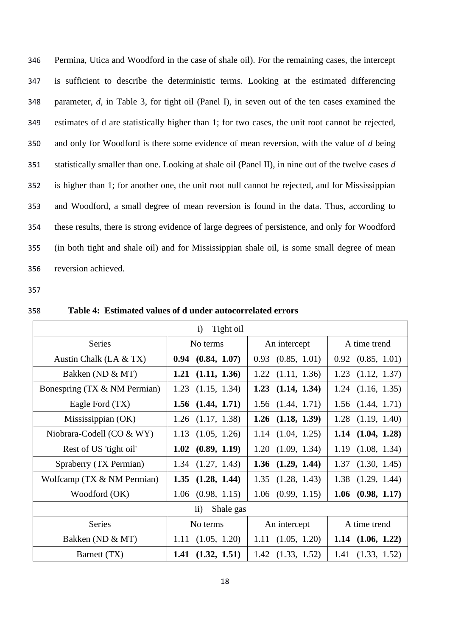Permina, Utica and Woodford in the case of shale oil). For the remaining cases, the intercept is sufficient to describe the deterministic terms. Looking at the estimated differencing parameter, *d*, in Table 3, for tight oil (Panel I), in seven out of the ten cases examined the estimates of d are statistically higher than 1; for two cases, the unit root cannot be rejected, and only for Woodford is there some evidence of mean reversion, with the value of *d* being statistically smaller than one. Looking at shale oil (Panel II), in nine out of the twelve cases *d* is higher than 1; for another one, the unit root null cannot be rejected, and for Mississippian and Woodford, a small degree of mean reversion is found in the data. Thus, according to these results, there is strong evidence of large degrees of persistence, and only for Woodford (in both tight and shale oil) and for Mississippian shale oil, is some small degree of mean reversion achieved.

| Table 4: Estimated values of d under autocorrelated errors<br>358 |  |
|-------------------------------------------------------------------|--|
|-------------------------------------------------------------------|--|

| Tight oil<br>$\mathbf{i}$    |                       |                       |                       |  |
|------------------------------|-----------------------|-----------------------|-----------------------|--|
| <b>Series</b>                | No terms              | An intercept          | A time trend          |  |
| Austin Chalk (LA $& TX$ )    | (0.84, 1.07)<br>0.94  | (0.85, 1.01)<br>0.93  | $0.92$ $(0.85, 1.01)$ |  |
| Bakken (ND & MT)             | (1.11, 1.36)<br>1.21  | 1.22<br>(1.11, 1.36)  | 1.23<br>(1.12, 1.37)  |  |
| Bonespring (TX & NM Permian) | 1.23<br>(1.15, 1.34)  | 1.23<br>(1.14, 1.34)  | $1.24$ $(1.16, 1.35)$ |  |
| Eagle Ford (TX)              | 1.56<br>(1.44, 1.71)  | $1.56$ $(1.44, 1.71)$ | $1.56$ $(1.44, 1.71)$ |  |
| Mississippian (OK)           | (1.17, 1.38)<br>1.26  | (1.18, 1.39)<br>1.26  | $1.28$ $(1.19, 1.40)$ |  |
| Niobrara-Codell (CO & WY)    | 1.13<br>(1.05, 1.26)  | (1.04, 1.25)<br>1.14  | (1.04, 1.28)<br>1.14  |  |
| Rest of US 'tight oil'       | (0.89, 1.19)<br>1.02  | 1.20<br>(1.09, 1.34)  | 1.19<br>(1.08, 1.34)  |  |
| Spraberry (TX Permian)       | $1.34$ $(1.27, 1.43)$ | $1.36$ $(1.29, 1.44)$ | (1.30, 1.45)<br>1.37  |  |
| Wolfcamp (TX & NM Permian)   | (1.28, 1.44)<br>1.35  | 1.35<br>(1.28, 1.43)  | 1.38<br>(1.29, 1.44)  |  |
| Woodford (OK)                | $1.06$ $(0.98, 1.15)$ | $1.06$ $(0.99, 1.15)$ | $1.06$ (0.98, 1.17)   |  |
| $\rm ii)$<br>Shale gas       |                       |                       |                       |  |
| <b>Series</b>                | No terms              | An intercept          | A time trend          |  |
| Bakken (ND & MT)             | (1.05, 1.20)<br>1.11  | (1.05, 1.20)<br>1.11  | $1.14$ $(1.06, 1.22)$ |  |
| Barnett (TX)                 | 1.41<br>(1.32, 1.51)  | $1.42$ $(1.33, 1.52)$ | (1.33, 1.52)<br>1.41  |  |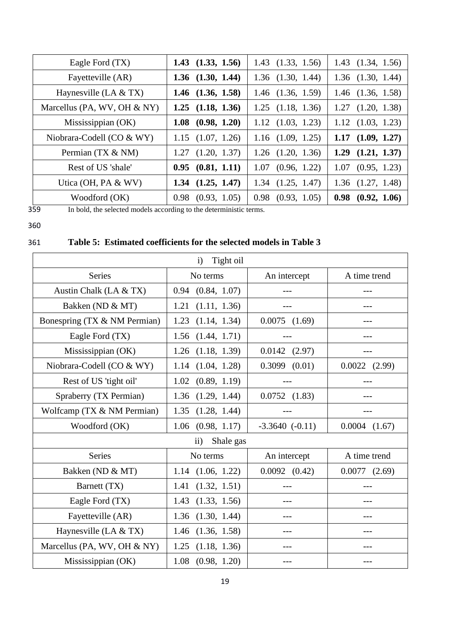| Eagle Ford (TX)             | $1.43$ $(1.33, 1.56)$ | $1.43$ $(1.33, 1.56)$ | $1.43$ $(1.34, 1.56)$ |
|-----------------------------|-----------------------|-----------------------|-----------------------|
| Fayetteville (AR)           | $1.36$ $(1.30, 1.44)$ | $1.36$ $(1.30, 1.44)$ | $1.36$ $(1.30, 1.44)$ |
| Haynesville (LA $& TX$ )    | $1.46$ $(1.36, 1.58)$ | $1.46$ $(1.36, 1.59)$ | $1.46$ $(1.36, 1.58)$ |
| Marcellus (PA, WV, OH & NY) | $1.25$ $(1.18, 1.36)$ | $1.25$ $(1.18, 1.36)$ | $1.27$ $(1.20, 1.38)$ |
| Mississippian (OK)          | $1.08$ (0.98, 1.20)   | $1.12$ $(1.03, 1.23)$ | $1.12$ $(1.03, 1.23)$ |
| Niobrara-Codell (CO & WY)   | $1.15$ $(1.07, 1.26)$ | $1.16$ $(1.09, 1.25)$ | $1.17$ $(1.09, 1.27)$ |
| Permian (TX & NM)           | $1.27$ $(1.20, 1.37)$ | $1.26$ $(1.20, 1.36)$ | $1.29$ $(1.21, 1.37)$ |
| Rest of US 'shale'          | $0.95$ $(0.81, 1.11)$ | $1.07$ $(0.96, 1.22)$ | $1.07$ $(0.95, 1.23)$ |
| Utica (OH, PA & WV)         | $1.34$ $(1.25, 1.47)$ | $1.34$ $(1.25, 1.47)$ | $1.36$ $(1.27, 1.48)$ |
| Woodford (OK)               | $0.98$ $(0.93, 1.05)$ | $0.98$ $(0.93, 1.05)$ | $0.98$ $(0.92, 1.06)$ |

360

# 359 In bold, the selected models according to the deterministic terms.

361 **Table 5: Estimated coefficients for the selected models in Table 3**

| Tight oil<br>$\mathbf{i}$    |                        |                     |                   |  |
|------------------------------|------------------------|---------------------|-------------------|--|
| <b>Series</b>                | No terms               | An intercept        | A time trend      |  |
| Austin Chalk (LA & TX)       | (0.84, 1.07)<br>0.94   |                     |                   |  |
| Bakken (ND & MT)             | 1.21<br>(1.11, 1.36)   |                     |                   |  |
| Bonespring (TX & NM Permian) | 1.23<br>(1.14, 1.34)   | $0.0075$ $(1.69)$   | ---               |  |
| Eagle Ford (TX)              | 1.56<br>(1.44, 1.71)   | $---$               | ---               |  |
| Mississippian (OK)           | (1.18, 1.39)<br>1.26   | $0.0142$ $(2.97)$   |                   |  |
| Niobrara-Codell (CO & WY)    | (1.04, 1.28)<br>1.14   | $0.3099$ $(0.01)$   | $0.0022$ $(2.99)$ |  |
| Rest of US 'tight oil'       | (0.89, 1.19)<br>1.02   |                     |                   |  |
| Spraberry (TX Permian)       | (1.29, 1.44)<br>1.36   | 0.0752(1.83)        |                   |  |
| Wolfcamp (TX & NM Permian)   | 1.35<br>(1.28, 1.44)   |                     |                   |  |
| Woodford (OK)                | (0.98, 1.17)<br>1.06   | $-3.3640$ $(-0.11)$ | 0.0004<br>(1.67)  |  |
|                              | $\rm ii)$<br>Shale gas |                     |                   |  |
| <b>Series</b>                | No terms               | An intercept        | A time trend      |  |
| Bakken (ND & MT)             | $1.14$ $(1.06, 1.22)$  | $0.0092$ $(0.42)$   | $0.0077$ $(2.69)$ |  |
| Barnett (TX)                 | (1.32, 1.51)<br>1.41   |                     |                   |  |
| Eagle Ford (TX)              | 1.43<br>(1.33, 1.56)   |                     |                   |  |
| Fayetteville (AR)            | (1.30, 1.44)<br>1.36   |                     |                   |  |
| Haynesville (LA $& TX$ )     | (1.36, 1.58)<br>1.46   | $---$               | $---$             |  |
| Marcellus (PA, WV, OH & NY)  | (1.18, 1.36)<br>1.25   |                     |                   |  |
| Mississippian (OK)           | 1.08<br>(0.98, 1.20)   |                     |                   |  |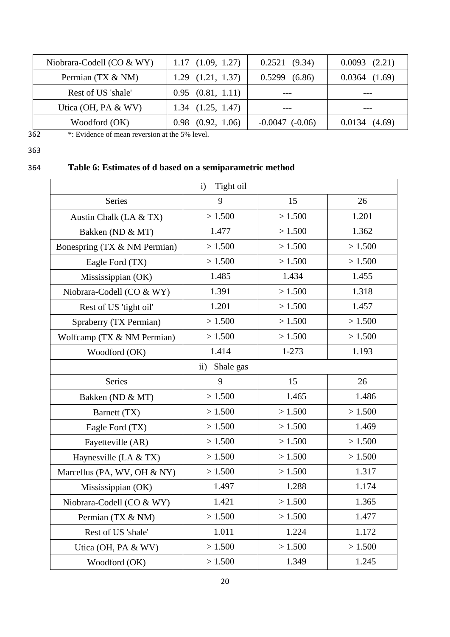| Niobrara-Codell (CO $&$ WY) | $1.17$ $(1.09, 1.27)$ | $0.2521$ $(9.34)$   | $0.0093$ $(2.21)$ |
|-----------------------------|-----------------------|---------------------|-------------------|
| Permian (TX & NM)           | $1.29$ $(1.21, 1.37)$ | 0.5299(6.86)        | $0.0364$ $(1.69)$ |
| Rest of US 'shale'          | $0.95$ $(0.81, 1.11)$ |                     |                   |
| Utica (OH, PA $&$ WV)       | $1.34$ $(1.25, 1.47)$ |                     |                   |
| Woodford (OK)               | $0.98$ $(0.92, 1.06)$ | $-0.0047$ $(-0.06)$ | 0.0134(4.69)      |

362 \*: Evidence of mean reversion at the 5% level.

# 363

# 364 **Table 6: Estimates of d based on a semiparametric method**

|                              | Tight oil<br>$\mathbf{i}$  |           |        |  |  |
|------------------------------|----------------------------|-----------|--------|--|--|
| <b>Series</b>                | 9                          | 15        | 26     |  |  |
| Austin Chalk (LA & TX)       | >1.500                     | >1.500    | 1.201  |  |  |
| Bakken (ND & MT)             | 1.477                      | > 1.500   | 1.362  |  |  |
| Bonespring (TX & NM Permian) | >1.500                     | >1.500    | >1.500 |  |  |
| Eagle Ford (TX)              | >1.500                     | >1.500    | >1.500 |  |  |
| Mississippian (OK)           | 1.485                      | 1.434     | 1.455  |  |  |
| Niobrara-Codell (CO & WY)    | 1.391                      | >1.500    | 1.318  |  |  |
| Rest of US 'tight oil'       | 1.201                      | >1.500    | 1.457  |  |  |
| Spraberry (TX Permian)       | >1.500                     | >1.500    | >1.500 |  |  |
| Wolfcamp (TX & NM Permian)   | >1.500                     | >1.500    | >1.500 |  |  |
| Woodford (OK)                | 1.414                      | $1 - 273$ | 1.193  |  |  |
|                              | Shale gas<br>$\mathbf{ii}$ |           |        |  |  |
| <b>Series</b>                | 9                          | 15        | 26     |  |  |
| Bakken (ND & MT)             | >1.500                     | 1.465     | 1.486  |  |  |
| Barnett (TX)                 | >1.500                     | >1.500    | >1.500 |  |  |
| Eagle Ford (TX)              | >1.500                     | >1.500    | 1.469  |  |  |
| Fayetteville (AR)            | >1.500                     | >1.500    | >1.500 |  |  |
| Haynesville (LA $& TX$ )     | >1.500                     | >1.500    | >1.500 |  |  |
| Marcellus (PA, WV, OH & NY)  | >1.500                     | >1.500    | 1.317  |  |  |
| Mississippian (OK)           | 1.497                      | 1.288     | 1.174  |  |  |
| Niobrara-Codell (CO & WY)    | 1.421                      | >1.500    | 1.365  |  |  |
| Permian (TX & NM)            | >1.500                     | >1.500    | 1.477  |  |  |
| Rest of US 'shale'           | 1.011                      | 1.224     | 1.172  |  |  |
| Utica (OH, PA & WV)          | >1.500                     | >1.500    | >1.500 |  |  |
| Woodford (OK)                | >1.500                     | 1.349     | 1.245  |  |  |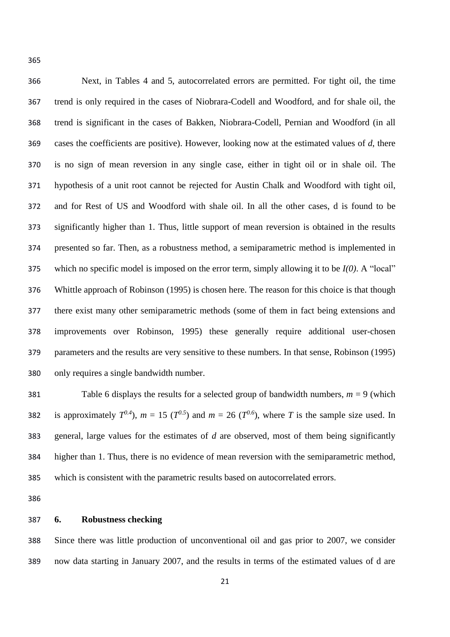Next, in Tables 4 and 5, autocorrelated errors are permitted. For tight oil, the time trend is only required in the cases of Niobrara-Codell and Woodford, and for shale oil, the trend is significant in the cases of Bakken, Niobrara-Codell, Pernian and Woodford (in all cases the coefficients are positive). However, looking now at the estimated values of *d*, there is no sign of mean reversion in any single case, either in tight oil or in shale oil. The hypothesis of a unit root cannot be rejected for Austin Chalk and Woodford with tight oil, and for Rest of US and Woodford with shale oil. In all the other cases, d is found to be significantly higher than 1. Thus, little support of mean reversion is obtained in the results presented so far. Then, as a robustness method, a semiparametric method is implemented in which no specific model is imposed on the error term, simply allowing it to be *I(0)*. A "local" Whittle approach of Robinson (1995) is chosen here. The reason for this choice is that though there exist many other semiparametric methods (some of them in fact being extensions and improvements over Robinson, 1995) these generally require additional user-chosen parameters and the results are very sensitive to these numbers. In that sense, Robinson (1995) only requires a single bandwidth number.

381 Table 6 displays the results for a selected group of bandwidth numbers,  $m = 9$  (which 382 is approximately  $T^{0.4}$ ),  $m = 15$  ( $T^{0.5}$ ) and  $m = 26$  ( $T^{0.6}$ ), where *T* is the sample size used. In general, large values for the estimates of *d* are observed, most of them being significantly higher than 1. Thus, there is no evidence of mean reversion with the semiparametric method, which is consistent with the parametric results based on autocorrelated errors.

# **6. Robustness checking**

 Since there was little production of unconventional oil and gas prior to 2007, we consider now data starting in January 2007, and the results in terms of the estimated values of d are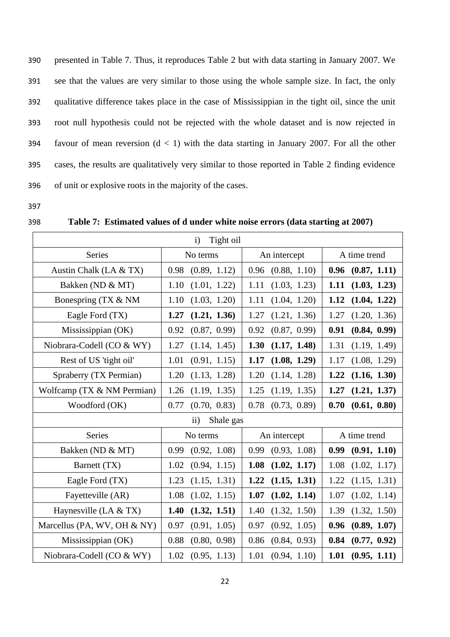presented in Table 7. Thus, it reproduces Table 2 but with data starting in January 2007. We see that the values are very similar to those using the whole sample size. In fact, the only qualitative difference takes place in the case of Mississippian in the tight oil, since the unit root null hypothesis could not be rejected with the whole dataset and is now rejected in 394 favour of mean reversion  $(d < 1)$  with the data starting in January 2007. For all the other cases, the results are qualitatively very similar to those reported in Table 2 finding evidence of unit or explosive roots in the majority of the cases.

| <br>٦<br>× | ٦ |
|------------|---|

398 **Table 7: Estimated values of d under white noise errors (data starting at 2007)**

| Tight oil<br>$\mathbf{i}$        |              |              |              |  |  |
|----------------------------------|--------------|--------------|--------------|--|--|
| <b>Series</b>                    | No terms     | An intercept | A time trend |  |  |
| Austin Chalk (LA & TX)           | (0.89, 1.12) | (0.88, 1.10) | (0.87, 1.11) |  |  |
|                                  | 0.98         | 0.96         | 0.96         |  |  |
| Bakken (ND & MT)                 | 1.10         | 1.11         | (1.03, 1.23) |  |  |
|                                  | (1.01, 1.22) | (1.03, 1.23) | 1.11         |  |  |
| Bonespring (TX & NM              | 1.10         | 1.11         | 1.12         |  |  |
|                                  | (1.03, 1.20) | (1.04, 1.20) | (1.04, 1.22) |  |  |
| Eagle Ford (TX)                  | 1.27         | 1.27         | 1.27         |  |  |
|                                  | (1.21, 1.36) | (1.21, 1.36) | (1.20, 1.36) |  |  |
| Mississippian (OK)               | 0.92         | 0.92         | 0.91         |  |  |
|                                  | (0.87, 0.99) | (0.87, 0.99) | (0.84, 0.99) |  |  |
| Niobrara-Codell (CO & WY)        | 1.27         | 1.30         | 1.31         |  |  |
|                                  | (1.14, 1.45) | (1.17, 1.48) | (1.19, 1.49) |  |  |
| Rest of US 'tight oil'           | 1.01         | 1.17         | (1.08, 1.29) |  |  |
|                                  | (0.91, 1.15) | (1.08, 1.29) | 1.17         |  |  |
| Spraberry (TX Permian)           | 1.20         | 1.20         | 1.22         |  |  |
|                                  | (1.13, 1.28) | (1.14, 1.28) | (1.16, 1.30) |  |  |
| Wolfcamp (TX & NM Permian)       | 1.26         | 1.25         | 1.27         |  |  |
|                                  | (1.19, 1.35) | (1.19, 1.35) | (1.21, 1.37) |  |  |
| Woodford (OK)                    | 0.77         | 0.78         | 0.70         |  |  |
|                                  | (0.70, 0.83) | (0.73, 0.89) | (0.61, 0.80) |  |  |
| Shale gas<br>$\ddot{\mathbf{i}}$ |              |              |              |  |  |
| <b>Series</b>                    | No terms     | An intercept | A time trend |  |  |
| Bakken (ND & MT)                 | 0.99         | 0.99         | 0.99         |  |  |
|                                  | (0.92, 1.08) | (0.93, 1.08) | (0.91, 1.10) |  |  |
| Barnett (TX)                     | 1.02         | 1.08         | 1.08         |  |  |
|                                  | (0.94, 1.15) | (1.02, 1.17) | (1.02, 1.17) |  |  |
| Eagle Ford (TX)                  | 1.23         | 1.22         | 1.22         |  |  |
|                                  | (1.15, 1.31) | (1.15, 1.31) | (1.15, 1.31) |  |  |
| Fayetteville (AR)                | 1.08         | 1.07         | 1.07         |  |  |
|                                  | (1.02, 1.15) | (1.02, 1.14) | (1.02, 1.14) |  |  |
| Haynesville (LA $& TX$ )         | 1.40         | 1.40         | 1.39         |  |  |
|                                  | (1.32, 1.51) | (1.32, 1.50) | (1.32, 1.50) |  |  |
| Marcellus (PA, WV, OH $&$ NY)    | 0.97         | 0.97         | 0.96         |  |  |
|                                  | (0.91, 1.05) | (0.92, 1.05) | (0.89, 1.07) |  |  |
| Mississippian (OK)               | 0.88         | 0.86         | 0.84         |  |  |
|                                  | (0.80, 0.98) | (0.84, 0.93) | (0.77, 0.92) |  |  |
| Niobrara-Codell (CO & WY)        | 1.02         | 1.01         | 1.01         |  |  |
|                                  | (0.95, 1.13) | (0.94, 1.10) | (0.95, 1.11) |  |  |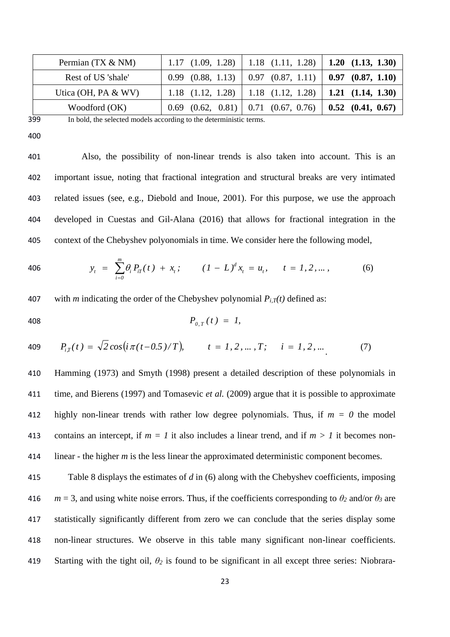| Permian (TX & NM)     | 1.17 $(1.09, 1.28)$   1.18 $(1.11, 1.28)$   1.20 $(1.13, 1.30)$   |  |
|-----------------------|-------------------------------------------------------------------|--|
| Rest of US 'shale'    | $0.99$ $(0.88, 1.13)$   0.97 $(0.87, 1.11)$   0.97 $(0.87, 1.10)$ |  |
| Utica (OH, PA $&$ WV) | 1.18 $(1.12, 1.28)$   1.18 $(1.12, 1.28)$   1.21 $(1.14, 1.30)$   |  |
| Woodford (OK)         | $0.69$ $(0.62, 0.81)$ $0.71$ $(0.67, 0.76)$ $0.52$ $(0.41, 0.67)$ |  |

399 In bold, the selected models according to the deterministic terms.

400

 Also, the possibility of non-linear trends is also taken into account. This is an important issue, noting that fractional integration and structural breaks are very intimated related issues (see, e.g., Diebold and Inoue, 2001). For this purpose, we use the approach developed in Cuestas and Gil-Alana (2016) that allows for fractional integration in the context of the Chebyshev polyonomials in time. We consider here the following model,

406 
$$
y_t = \sum_{i=0}^m \theta_i P_{iT}(t) + x_t; \qquad (1 - L)^d x_t = u_t, \qquad t = 1, 2, ..., \qquad (6)
$$

407 with *m* indicating the order of the Chebyshev polynomial  $P_{i,T}(t)$  defined as:

$$
P_{0,T}(t) = 1,
$$

409 
$$
P_{i,T}(t) = \sqrt{2} \cos(i\pi(t-0.5)/T),
$$
  $t = 1, 2, ..., T;$   $i = 1, 2, ...$  (7)

 Hamming (1973) and Smyth (1998) present a detailed description of these polynomials in time, and Bierens (1997) and Tomasevic *et al.* (2009) argue that it is possible to approximate highly non-linear trends with rather low degree polynomials. Thus, if *m = 0* the model 413 contains an intercept, if  $m = 1$  it also includes a linear trend, and if  $m > 1$  it becomes non-linear - the higher *m* is the less linear the approximated deterministic component becomes.

 Table 8 displays the estimates of *d* in (6) along with the Chebyshev coefficients, imposing  $m = 3$ , and using white noise errors. Thus, if the coefficients corresponding to  $\theta_2$  and/or  $\theta_3$  are statistically significantly different from zero we can conclude that the series display some non-linear structures. We observe in this table many significant non-linear coefficients. Starting with the tight oil, *θ<sup>2</sup>* is found to be significant in all except three series: Niobrara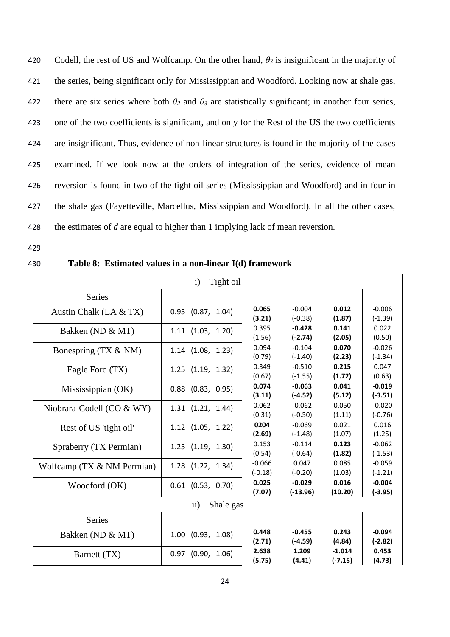Codell, the rest of US and Wolfcamp. On the other hand, *θ<sup>3</sup>* is insignificant in the majority of the series, being significant only for Mississippian and Woodford. Looking now at shale gas, 422 there are six series where both  $\theta_2$  and  $\theta_3$  are statistically significant; in another four series, one of the two coefficients is significant, and only for the Rest of the US the two coefficients are insignificant. Thus, evidence of non-linear structures is found in the majority of the cases examined. If we look now at the orders of integration of the series, evidence of mean reversion is found in two of the tight oil series (Mississippian and Woodford) and in four in the shale gas (Fayetteville, Marcellus, Mississippian and Woodford). In all the other cases, the estimates of *d* are equal to higher than 1 implying lack of mean reversion.

- 429
- 

# 430 **Table 8: Estimated values in a non-linear I(d) framework**

| Tight oil<br>$\mathbf{i}$  |                       |                                                                                                                                                           |                                                                                                                                                                                                                                                                                                             |                            |                                                                   |
|----------------------------|-----------------------|-----------------------------------------------------------------------------------------------------------------------------------------------------------|-------------------------------------------------------------------------------------------------------------------------------------------------------------------------------------------------------------------------------------------------------------------------------------------------------------|----------------------------|-------------------------------------------------------------------|
| <b>Series</b>              |                       |                                                                                                                                                           |                                                                                                                                                                                                                                                                                                             |                            |                                                                   |
| Austin Chalk (LA & TX)     | $0.95$ $(0.87, 1.04)$ | 0.065<br>(3.21)                                                                                                                                           | $-0.004$<br>0.012<br>$(-0.38)$<br>0.141<br>$-0.428$<br>$(-2.74)$<br>0.070<br>$-0.104$<br>$(-1.40)$<br>0.215<br>$-0.510$<br>$(-1.55)$<br>$-0.063$<br>0.041<br>$(-4.52)$<br>0.050<br>$-0.062$<br>$(-0.50)$<br>0.021<br>$-0.069$<br>$(-1.48)$<br>$-0.114$<br>0.123<br>$(-0.64)$<br>0.047<br>0.085<br>$(-0.20)$ | (1.87)<br>(2.05)<br>(2.23) | $-0.006$<br>$(-1.39)$                                             |
| Bakken (ND & MT)           | $1.11$ $(1.03, 1.20)$ | 0.395<br>(1.56)                                                                                                                                           |                                                                                                                                                                                                                                                                                                             |                            | 0.022<br>(0.50)                                                   |
| Bonespring (TX & NM)       | $1.14$ $(1.08, 1.23)$ | 0.094<br>(0.79)<br>0.349<br>(0.67)<br>0.074<br>(3.11)<br>0.062<br>(0.31)<br>0204<br>(2.69)<br>0.153<br>(0.54)<br>$-0.066$<br>$(-0.18)$<br>0.025<br>(7.07) |                                                                                                                                                                                                                                                                                                             |                            | $-0.026$<br>$(-1.34)$                                             |
| Eagle Ford (TX)            | $1.25$ $(1.19, 1.32)$ |                                                                                                                                                           |                                                                                                                                                                                                                                                                                                             | (1.72)                     | 0.047<br>(0.63)<br>$-0.019$<br>$(-3.51)$                          |
| Mississippian (OK)         | $0.88$ $(0.83, 0.95)$ |                                                                                                                                                           |                                                                                                                                                                                                                                                                                                             | (5.12)                     |                                                                   |
| Niobrara-Codell (CO & WY)  | $1.31$ $(1.21, 1.44)$ |                                                                                                                                                           |                                                                                                                                                                                                                                                                                                             | (1.11)                     | $-0.020$<br>$(-0.76)$                                             |
| Rest of US 'tight oil'     | $1.12$ $(1.05, 1.22)$ |                                                                                                                                                           |                                                                                                                                                                                                                                                                                                             | (1.07)                     | 0.016<br>(1.25)<br>$-0.062$<br>$(-1.53)$<br>$-0.059$<br>$(-1.21)$ |
| Spraberry (TX Permian)     | $1.25$ $(1.19, 1.30)$ |                                                                                                                                                           |                                                                                                                                                                                                                                                                                                             | (1.82)<br>(1.03)           |                                                                   |
| Wolfcamp (TX & NM Permian) | $1.28$ $(1.22, 1.34)$ |                                                                                                                                                           |                                                                                                                                                                                                                                                                                                             |                            |                                                                   |
| Woodford (OK)              | $0.61$ (0.53, 0.70)   |                                                                                                                                                           | $-0.029$<br>$(-13.96)$                                                                                                                                                                                                                                                                                      | 0.016<br>(10.20)           | $-0.004$<br>$(-3.95)$                                             |
| Shale gas<br>$\mathbf{ii}$ |                       |                                                                                                                                                           |                                                                                                                                                                                                                                                                                                             |                            |                                                                   |
| <b>Series</b>              |                       |                                                                                                                                                           |                                                                                                                                                                                                                                                                                                             |                            |                                                                   |
| Bakken (ND & MT)           | $1.00$ $(0.93, 1.08)$ | 0.448<br>(2.71)                                                                                                                                           | $-0.455$<br>$(-4.59)$                                                                                                                                                                                                                                                                                       | 0.243<br>(4.84)            | $-0.094$<br>$(-2.82)$                                             |
| Barnett (TX)               | $0.97$ (0.90, 1.06)   | 2.638<br>(5.75)                                                                                                                                           | 1.209<br>(4.41)                                                                                                                                                                                                                                                                                             | $-1.014$<br>$(-7.15)$      | 0.453<br>(4.73)                                                   |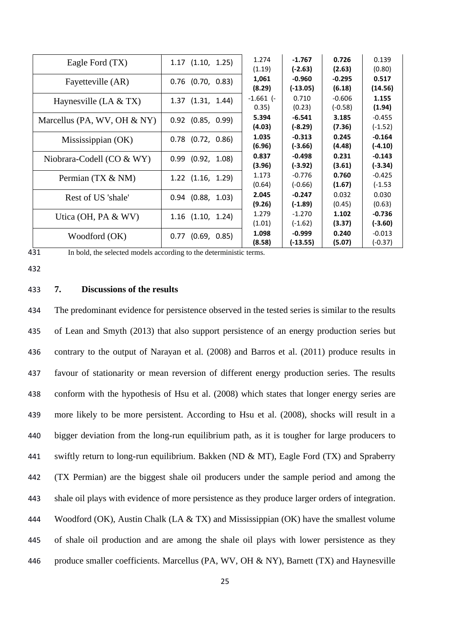| Eagle Ford (TX)               | $1.17$ $(1.10, 1.25)$ | 1.274<br>(1.19)      | $-1.767$<br>$(-2.63)$  | 0.726<br>(2.63)       | 0.139<br>(0.80)       |
|-------------------------------|-----------------------|----------------------|------------------------|-----------------------|-----------------------|
| Fayetteville (AR)             | $0.76$ (0.70, 0.83)   | 1,061<br>(8.29)      | $-0.960$<br>$(-13.05)$ | $-0.295$<br>(6.18)    | 0.517<br>(14.56)      |
| Haynesville (LA $& TX$ )      | $1.37$ $(1.31, 1.44)$ | $-1.661$ (-<br>0.35) | 0.710<br>(0.23)        | $-0.606$<br>$(-0.58)$ | 1.155<br>(1.94)       |
| Marcellus (PA, WV, OH $&$ NY) | $0.92$ (0.85, 0.99)   | 5.394<br>(4.03)      | $-6.541$<br>$(-8.29)$  | 3.185<br>(7.36)       | $-0.455$<br>$(-1.52)$ |
| Mississippian (OK)            | $0.78$ $(0.72, 0.86)$ | 1.035<br>(6.96)      | $-0.313$<br>$(-3.66)$  | 0.245<br>(4.48)       | $-0.164$<br>$(-4.10)$ |
| Niobrara-Codell (CO & WY)     | $0.99$ $(0.92, 1.08)$ | 0.837<br>(3.96)      | $-0.498$<br>$(-3.92)$  | 0.231<br>(3.61)       | $-0.143$<br>$(-3.34)$ |
| Permian (TX & NM)             | $1.22$ $(1.16, 1.29)$ | 1.173<br>(0.64)      | $-0.776$<br>$(-0.66)$  | 0.760<br>(1.67)       | $-0.425$<br>$(-1.53)$ |
| Rest of US 'shale'            | $0.94$ (0.88, 1.03)   | 2.045<br>(9.26)      | $-0.247$<br>$(-1.89)$  | 0.032<br>(0.45)       | 0.030<br>(0.63)       |
| Utica (OH, PA $&$ WV)         | $1.16$ $(1.10, 1.24)$ | 1.279<br>(1.01)      | $-1.270$<br>$(-1.62)$  | 1.102<br>(3.37)       | $-0.736$<br>$(-3.60)$ |
| Woodford (OK)                 | $0.77$ $(0.69, 0.85)$ | 1.098<br>(8.58)      | $-0.999$<br>(-13.55)   | 0.240<br>(5.07)       | $-0.013$<br>$(-0.37)$ |

431 In bold, the selected models according to the deterministic terms.

432

# 433 **7. Discussions of the results**

 The predominant evidence for persistence observed in the tested series is similar to the results of Lean and Smyth (2013) that also support persistence of an energy production series but contrary to the output of Narayan et al. (2008) and Barros et al. (2011) produce results in favour of stationarity or mean reversion of different energy production series. The results conform with the hypothesis of Hsu et al. (2008) which states that longer energy series are more likely to be more persistent. According to Hsu et al. (2008), shocks will result in a bigger deviation from the long-run equilibrium path, as it is tougher for large producers to 441 swiftly return to long-run equilibrium. Bakken (ND & MT), Eagle Ford (TX) and Spraberry (TX Permian) are the biggest shale oil producers under the sample period and among the shale oil plays with evidence of more persistence as they produce larger orders of integration. Woodford (OK), Austin Chalk (LA & TX) and Mississippian (OK) have the smallest volume of shale oil production and are among the shale oil plays with lower persistence as they 446 produce smaller coefficients. Marcellus (PA, WV, OH & NY), Barnett (TX) and Haynesville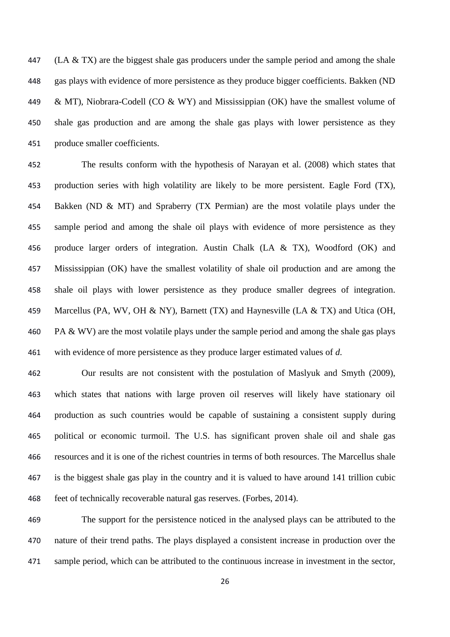(LA & TX) are the biggest shale gas producers under the sample period and among the shale gas plays with evidence of more persistence as they produce bigger coefficients. Bakken (ND 449 & MT), Niobrara-Codell (CO & WY) and Mississippian (OK) have the smallest volume of shale gas production and are among the shale gas plays with lower persistence as they produce smaller coefficients.

 The results conform with the hypothesis of Narayan et al. (2008) which states that production series with high volatility are likely to be more persistent. Eagle Ford (TX), Bakken (ND & MT) and Spraberry (TX Permian) are the most volatile plays under the sample period and among the shale oil plays with evidence of more persistence as they produce larger orders of integration. Austin Chalk (LA & TX), Woodford (OK) and Mississippian (OK) have the smallest volatility of shale oil production and are among the shale oil plays with lower persistence as they produce smaller degrees of integration. 459 Marcellus (PA, WV, OH & NY), Barnett (TX) and Haynesville (LA & TX) and Utica (OH, 460 PA & WV) are the most volatile plays under the sample period and among the shale gas plays with evidence of more persistence as they produce larger estimated values of *d*.

 Our results are not consistent with the postulation of Maslyuk and Smyth (2009), which states that nations with large proven oil reserves will likely have stationary oil production as such countries would be capable of sustaining a consistent supply during political or economic turmoil. The U.S. has significant proven shale oil and shale gas resources and it is one of the richest countries in terms of both resources. The Marcellus shale is the biggest shale gas play in the country and it is valued to have around 141 trillion cubic feet of technically recoverable natural gas reserves. (Forbes, 2014).

 The support for the persistence noticed in the analysed plays can be attributed to the nature of their trend paths. The plays displayed a consistent increase in production over the sample period, which can be attributed to the continuous increase in investment in the sector,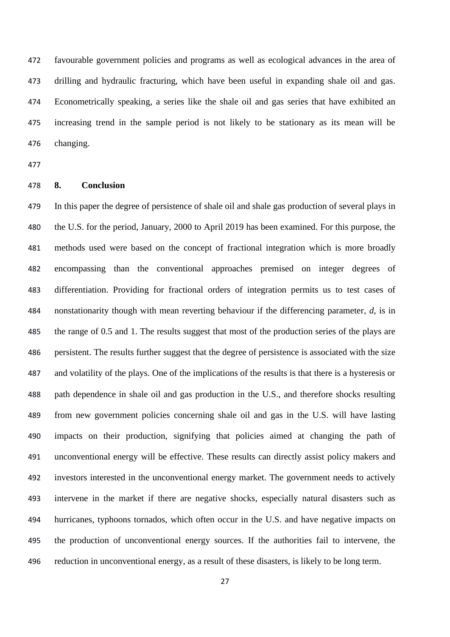favourable government policies and programs as well as ecological advances in the area of drilling and hydraulic fracturing, which have been useful in expanding shale oil and gas. Econometrically speaking, a series like the shale oil and gas series that have exhibited an increasing trend in the sample period is not likely to be stationary as its mean will be changing.

# **8. Conclusion**

 In this paper the degree of persistence of shale oil and shale gas production of several plays in the U.S. for the period, January, 2000 to April 2019 has been examined. For this purpose, the methods used were based on the concept of fractional integration which is more broadly encompassing than the conventional approaches premised on integer degrees of differentiation. Providing for fractional orders of integration permits us to test cases of nonstationarity though with mean reverting behaviour if the differencing parameter, *d*, is in the range of 0.5 and 1. The results suggest that most of the production series of the plays are persistent. The results further suggest that the degree of persistence is associated with the size and volatility of the plays. One of the implications of the results is that there is a hysteresis or path dependence in shale oil and gas production in the U.S., and therefore shocks resulting from new government policies concerning shale oil and gas in the U.S. will have lasting impacts on their production, signifying that policies aimed at changing the path of unconventional energy will be effective. These results can directly assist policy makers and investors interested in the unconventional energy market. The government needs to actively intervene in the market if there are negative shocks, especially natural disasters such as hurricanes, typhoons tornados, which often occur in the U.S. and have negative impacts on the production of unconventional energy sources. If the authorities fail to intervene, the reduction in unconventional energy, as a result of these disasters, is likely to be long term.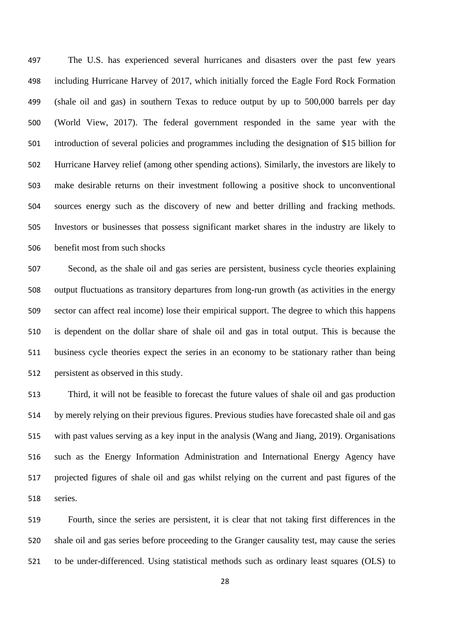The U.S. has experienced several hurricanes and disasters over the past few years including Hurricane Harvey of 2017, which initially forced the Eagle Ford Rock Formation (shale oil and gas) in southern Texas to reduce output by up to 500,000 barrels per day (World View, 2017). The federal government responded in the same year with the introduction of several policies and programmes including the designation of \$15 billion for Hurricane Harvey relief (among other spending actions). Similarly, the investors are likely to make desirable returns on their investment following a positive shock to unconventional sources energy such as the discovery of new and better drilling and fracking methods. Investors or businesses that possess significant market shares in the industry are likely to benefit most from such shocks

 Second, as the shale oil and gas series are persistent, business cycle theories explaining output fluctuations as transitory departures from long-run growth (as activities in the energy sector can affect real income) lose their empirical support. The degree to which this happens is dependent on the dollar share of shale oil and gas in total output. This is because the business cycle theories expect the series in an economy to be stationary rather than being persistent as observed in this study.

 Third, it will not be feasible to forecast the future values of shale oil and gas production by merely relying on their previous figures. Previous studies have forecasted shale oil and gas with past values serving as a key input in the analysis (Wang and Jiang, 2019). Organisations such as the Energy Information Administration and International Energy Agency have projected figures of shale oil and gas whilst relying on the current and past figures of the series.

 Fourth, since the series are persistent, it is clear that not taking first differences in the shale oil and gas series before proceeding to the Granger causality test, may cause the series to be under-differenced. Using statistical methods such as ordinary least squares (OLS) to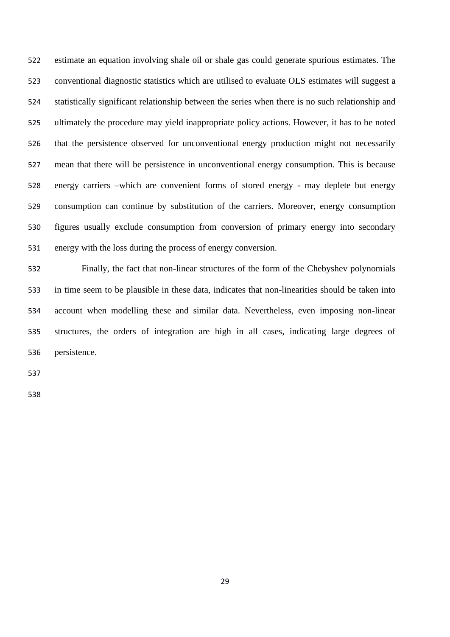estimate an equation involving shale oil or shale gas could generate spurious estimates. The conventional diagnostic statistics which are utilised to evaluate OLS estimates will suggest a statistically significant relationship between the series when there is no such relationship and ultimately the procedure may yield inappropriate policy actions. However, it has to be noted that the persistence observed for unconventional energy production might not necessarily mean that there will be persistence in unconventional energy consumption. This is because energy carriers –which are convenient forms of stored energy - may deplete but energy consumption can continue by substitution of the carriers. Moreover, energy consumption figures usually exclude consumption from conversion of primary energy into secondary energy with the loss during the process of energy conversion.

 Finally, the fact that non-linear structures of the form of the Chebyshev polynomials in time seem to be plausible in these data, indicates that non-linearities should be taken into account when modelling these and similar data. Nevertheless, even imposing non-linear structures, the orders of integration are high in all cases, indicating large degrees of persistence.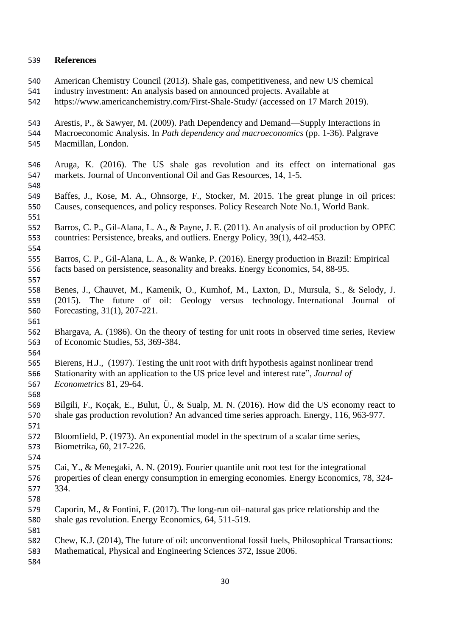# **References**

- American Chemistry Council (2013). Shale gas, competitiveness, and new US chemical industry investment: An analysis based on announced projects. Available at <https://www.americanchemistry.com/First-Shale-Study/> (accessed on 17 March 2019). Arestis, P., & Sawyer, M. (2009). Path Dependency and Demand—Supply Interactions in Macroeconomic Analysis. In *Path dependency and macroeconomics* (pp. 1-36). Palgrave Macmillan, London. Aruga, K. (2016). The US shale gas revolution and its effect on international gas markets. Journal of Unconventional Oil and Gas Resources, 14, 1-5. Baffes, J., Kose, M. A., Ohnsorge, F., Stocker, M. 2015. The great plunge in oil prices: Causes, consequences, and policy responses. Policy Research Note No.1, World Bank. Barros, C. P., Gil-Alana, L. A., & Payne, J. E. (2011). An analysis of oil production by OPEC countries: Persistence, breaks, and outliers. Energy Policy, 39(1), 442-453. Barros, C. P., Gil-Alana, L. A., & Wanke, P. (2016). Energy production in Brazil: Empirical facts based on persistence, seasonality and breaks. Energy Economics, 54, 88-95. Benes, J., Chauvet, M., Kamenik, O., Kumhof, M., Laxton, D., Mursula, S., & Selody, J. (2015). The future of oil: Geology versus technology. International Journal of Forecasting, 31(1), 207-221. Bhargava, A. (1986). On the theory of testing for unit roots in observed time series, Review of Economic Studies, 53, 369-384. Bierens, H.J., (1997). Testing the unit root with drift hypothesis against nonlinear trend Stationarity with an application to the US price level and interest rate", *Journal of Econometrics* 81, 29-64. Bilgili, F., Koçak, E., Bulut, Ü., & Sualp, M. N. (2016). How did the US economy react to shale gas production revolution? An advanced time series approach. Energy, 116, 963-977. Bloomfield, P. (1973). An exponential model in the spectrum of a scalar time series, Biometrika, 60, 217-226. Cai, Y., & Menegaki, A. N. (2019). Fourier quantile unit root test for the integrational properties of clean energy consumption in emerging economies. Energy Economics, 78, 324- 334. Caporin, M., & Fontini, F. (2017). The long-run oil–natural gas price relationship and the shale gas revolution. Energy Economics, 64, 511-519. Chew, K.J. (2014), The future of oil: unconventional fossil fuels, Philosophical Transactions: Mathematical, Physical and Engineering Sciences 372, Issue 2006.
-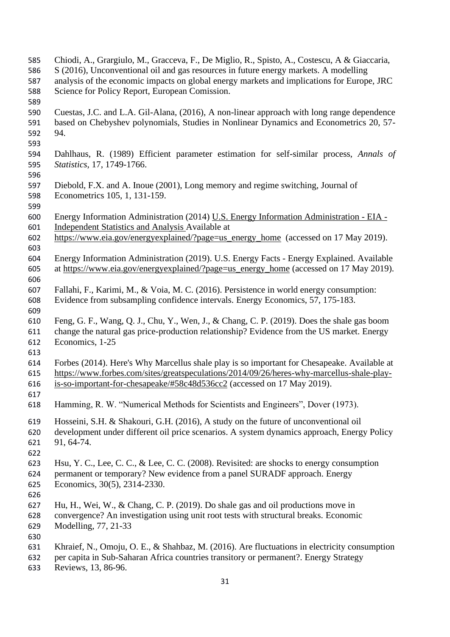- Chiodi, A., Grargiulo, M., Gracceva, F., De Miglio, R., Spisto, A., Costescu, A & Giaccaria, S (2016), Unconventional oil and gas resources in future energy markets. A modelling analysis of the economic impacts on global energy markets and implications for Europe, JRC Science for Policy Report, European Comission. Cuestas, J.C. and L.A. Gil-Alana, (2016), A non-linear approach with long range dependence based on Chebyshev polynomials, Studies in Nonlinear Dynamics and Econometrics 20, 57- 94. Dahlhaus, R. (1989) Efficient parameter estimation for self-similar process, *Annals of Statistics*, 17, 1749-1766. Diebold, F.X. and A. Inoue (2001), Long memory and regime switching, Journal of Econometrics 105, 1, 131-159. Energy Information Administration (2014) U.S. Energy Information Administration - EIA - Independent Statistics and Analysis Available at [https://www.eia.gov/energyexplained/?page=us\\_energy\\_home](https://www.eia.gov/energyexplained/?page=us_energy_home) (accessed on 17 May 2019). Energy Information Administration (2019). U.S. Energy Facts - Energy Explained. Available at [https://www.eia.gov/energyexplained/?page=us\\_energy\\_home](https://www.eia.gov/energyexplained/?page=us_energy_home) (accessed on 17 May 2019). Fallahi, F., Karimi, M., & Voia, M. C. (2016). Persistence in world energy consumption: Evidence from subsampling confidence intervals. Energy Economics, 57, 175-183. Feng, G. F., Wang, Q. J., Chu, Y., Wen, J., & Chang, C. P. (2019). Does the shale gas boom change the natural gas price-production relationship? Evidence from the US market. Energy Economics, 1-25 Forbes (2014). Here's Why Marcellus shale play is so important for Chesapeake. Available at [https://www.forbes.com/sites/greatspeculations/2014/09/26/heres-why-marcellus-shale-play-](https://www.forbes.com/sites/greatspeculations/2014/09/26/heres-why-marcellus-shale-play-is-so-important-for-chesapeake/#58c48d536cc2) [is-so-important-for-chesapeake/#58c48d536cc2](https://www.forbes.com/sites/greatspeculations/2014/09/26/heres-why-marcellus-shale-play-is-so-important-for-chesapeake/#58c48d536cc2) (accessed on 17 May 2019). Hamming, R. W. "Numerical Methods for Scientists and Engineers", Dover (1973). Hosseini, S.H. & Shakouri, G.H. (2016), A study on the future of unconventional oil development under different oil price scenarios. A system dynamics approach, Energy Policy 91, 64-74. Hsu, Y. C., Lee, C. C., & Lee, C. C. (2008). Revisited: are shocks to energy consumption permanent or temporary? New evidence from a panel SURADF approach. Energy Economics, 30(5), 2314-2330. Hu, H., Wei, W., & Chang, C. P. (2019). Do shale gas and oil productions move in convergence? An investigation using unit root tests with structural breaks. Economic Modelling, 77, 21-33 Khraief, N., Omoju, O. E., & Shahbaz, M. (2016). Are fluctuations in electricity consumption per capita in Sub-Saharan Africa countries transitory or permanent?. Energy Strategy Reviews, 13, 86-96.
	-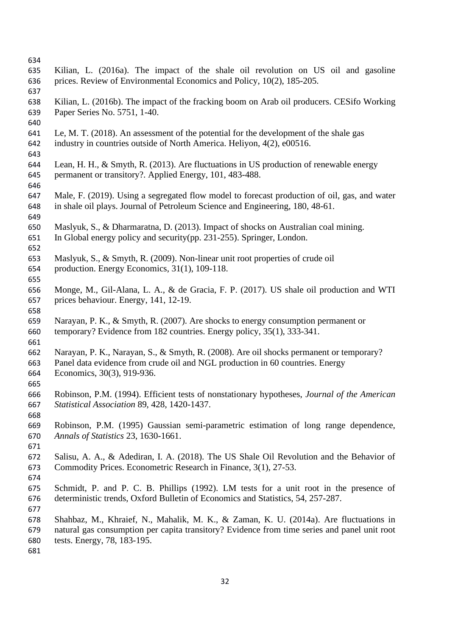- Kilian, L. (2016a). The impact of the shale oil revolution on US oil and gasoline prices. Review of Environmental Economics and Policy, 10(2), 185-205. Kilian, L. (2016b). The impact of the fracking boom on Arab oil producers. [CESifo Working](https://papers.ssrn.com/sol3/papers.cfm?abstract_id=2747292#%23)  [Paper Series No. 5751,](https://papers.ssrn.com/sol3/papers.cfm?abstract_id=2747292#%23) 1-40. Le, M. T. (2018). An assessment of the potential for the development of the shale gas industry in countries outside of North America. Heliyon, 4(2), e00516. Lean, H. H., & Smyth, R. (2013). Are fluctuations in US production of renewable energy permanent or transitory?. Applied Energy, 101, 483-488. Male, F. (2019). Using a segregated flow model to forecast production of oil, gas, and water in shale oil plays. Journal of Petroleum Science and Engineering, 180, 48-61. Maslyuk, S., & Dharmaratna, D. (2013). Impact of shocks on Australian coal mining. In Global energy policy and security(pp. 231-255). Springer, London. Maslyuk, S., & Smyth, R. (2009). Non-linear unit root properties of crude oil production. Energy Economics, 31(1), 109-118. Monge, M., Gil-Alana, L. A., & de Gracia, F. P. (2017). US shale oil production and WTI prices behaviour. Energy, 141, 12-19. Narayan, P. K., & Smyth, R. (2007). Are shocks to energy consumption permanent or temporary? Evidence from 182 countries. Energy policy, 35(1), 333-341. Narayan, P. K., Narayan, S., & Smyth, R. (2008). Are oil shocks permanent or temporary? Panel data evidence from crude oil and NGL production in 60 countries. Energy Economics, 30(3), 919-936. Robinson, P.M. (1994). Efficient tests of nonstationary hypotheses, *Journal of the American Statistical Association* 89, 428, 1420-1437. Robinson, P.M. (1995) Gaussian semi-parametric estimation of long range dependence, *Annals of Statistics* 23, 1630-1661. Salisu, A. A., & Adediran, I. A. (2018). The US Shale Oil Revolution and the Behavior of Commodity Prices. Econometric Research in Finance, 3(1), 27-53. Schmidt, P. and P. C. B. Phillips (1992). LM tests for a unit root in the presence of deterministic trends, Oxford Bulletin of Economics and Statistics, 54, 257-287.
- Shahbaz, M., Khraief, N., Mahalik, M. K., & Zaman, K. U. (2014a). Are fluctuations in natural gas consumption per capita transitory? Evidence from time series and panel unit root tests. Energy, 78, 183-195.
-